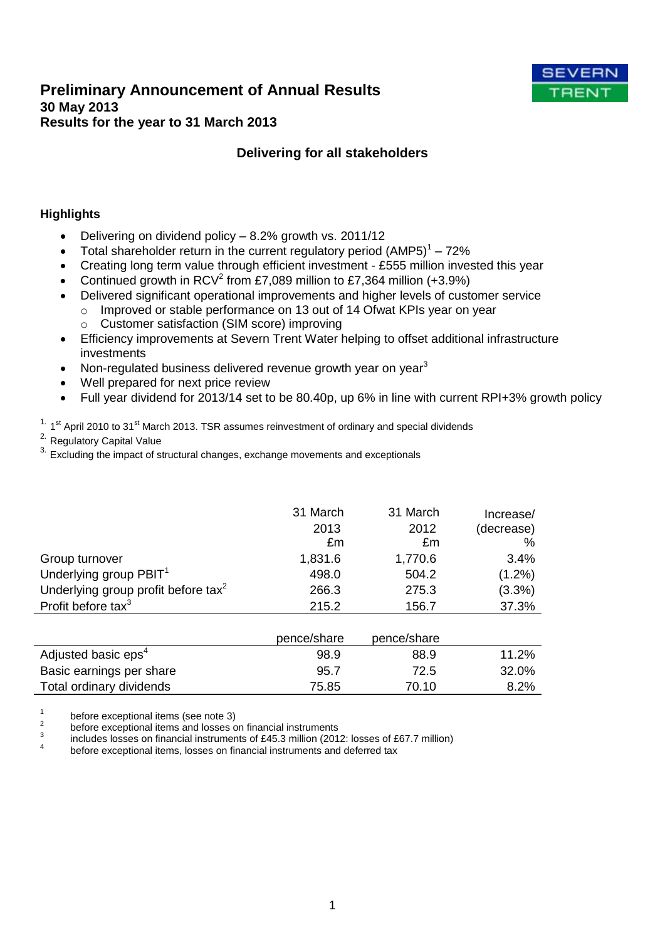# **Preliminary Announcement of Annual Results 30 May 2013 Results for the year to 31 March 2013**



# **Delivering for all stakeholders**

# **Highlights**

- Delivering on dividend policy 8.2% growth vs. 2011/12
- Total shareholder return in the current regulatory period  $(AMP5)^1 72\%$
- Creating long term value through efficient investment £555 million invested this year
- Continued growth in RCV<sup>2</sup> from £7,089 million to £7,364 million (+3.9%)
- Delivered significant operational improvements and higher levels of customer service
	- o Improved or stable performance on 13 out of 14 Ofwat KPIs year on year
	- o Customer satisfaction (SIM score) improving
- Efficiency improvements at Severn Trent Water helping to offset additional infrastructure investments
- Non-regulated business delivered revenue growth year on year<sup>3</sup>
- Well prepared for next price review
- Full year dividend for 2013/14 set to be 80.40p, up 6% in line with current RPI+3% growth policy

 $1.$  1<sup>st</sup> April 2010 to 31<sup>st</sup> March 2013. TSR assumes reinvestment of ordinary and special dividends

2. Regulatory Capital Value

 $3.$  Excluding the impact of structural changes, exchange movements and exceptionals

|                                                 | 31 March<br>2013 | 31 March<br>2012 | Increase/<br>(decrease) |
|-------------------------------------------------|------------------|------------------|-------------------------|
|                                                 | £m               | £m               | $\%$                    |
| Group turnover                                  | 1,831.6          | 1,770.6          | 3.4%                    |
| Underlying group PBIT <sup>1</sup>              | 498.0            | 504.2            | $(1.2\%)$               |
| Underlying group profit before tax <sup>2</sup> | 266.3            | 275.3            | (3.3%)                  |
| Profit before tax <sup>3</sup>                  | 215.2            | 156.7            | 37.3%                   |
|                                                 |                  |                  |                         |
|                                                 | pence/share      | pence/share      |                         |
| Adjusted basic eps <sup>4</sup>                 | 98.9             | 88.9             | 11.2%                   |
| Basic earnings per share                        | 95.7             | 72.5             | 32.0%                   |

Total ordinary dividends Total ordinary dividends Total ordinary dividends Total 2% and Total 2%

1 before exceptional items (see note 3)

2 before exceptional items and losses on financial instruments

3 includes losses on financial instruments of £45.3 million (2012: losses of £67.7 million)

4 before exceptional items, losses on financial instruments and deferred tax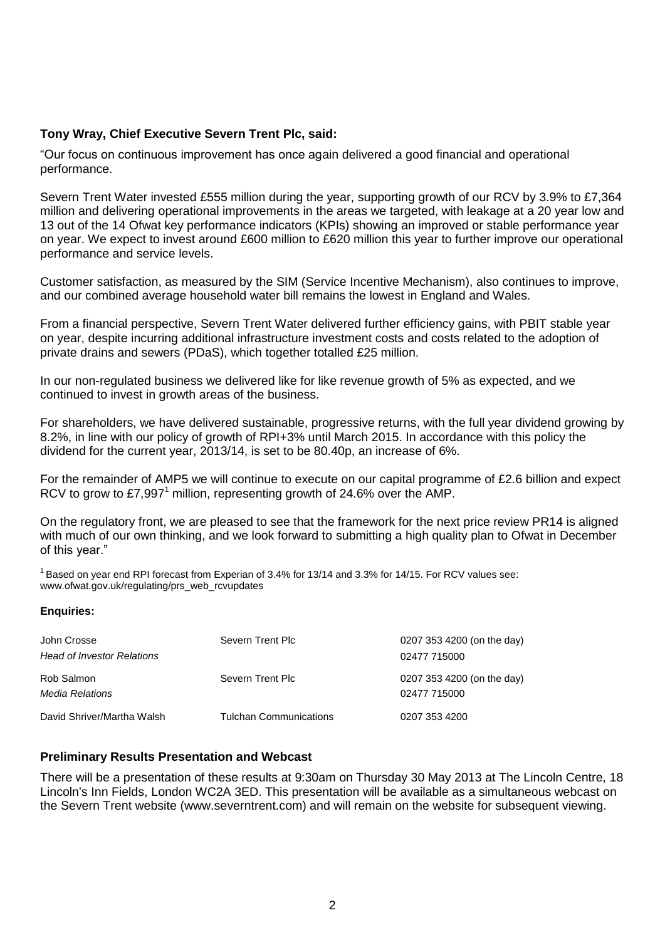# **Tony Wray, Chief Executive Severn Trent Plc, said:**

"Our focus on continuous improvement has once again delivered a good financial and operational performance.

Severn Trent Water invested £555 million during the year, supporting growth of our RCV by 3.9% to £7,364 million and delivering operational improvements in the areas we targeted, with leakage at a 20 year low and 13 out of the 14 Ofwat key performance indicators (KPIs) showing an improved or stable performance year on year. We expect to invest around £600 million to £620 million this year to further improve our operational performance and service levels.

Customer satisfaction, as measured by the SIM (Service Incentive Mechanism), also continues to improve, and our combined average household water bill remains the lowest in England and Wales.

From a financial perspective, Severn Trent Water delivered further efficiency gains, with PBIT stable year on year, despite incurring additional infrastructure investment costs and costs related to the adoption of private drains and sewers (PDaS), which together totalled £25 million.

In our non-regulated business we delivered like for like revenue growth of 5% as expected, and we continued to invest in growth areas of the business.

For shareholders, we have delivered sustainable, progressive returns, with the full year dividend growing by 8.2%, in line with our policy of growth of RPI+3% until March 2015. In accordance with this policy the dividend for the current year, 2013/14, is set to be 80.40p, an increase of 6%.

For the remainder of AMP5 we will continue to execute on our capital programme of £2.6 billion and expect RCV to grow to £7,997<sup>1</sup> million, representing growth of 24.6% over the AMP.

On the regulatory front, we are pleased to see that the framework for the next price review PR14 is aligned with much of our own thinking, and we look forward to submitting a high quality plan to Ofwat in December of this year."

 $1$ Based on year end RPI forecast from Experian of 3.4% for 13/14 and 3.3% for 14/15. For RCV values see: www.ofwat.gov.uk/regulating/prs\_web\_rcvupdates

### **Enquiries:**

| John Crosse<br><b>Head of Investor Relations</b> | Severn Trent Plc              | 0207 353 4200 (on the day)<br>02477 715000 |
|--------------------------------------------------|-------------------------------|--------------------------------------------|
| Rob Salmon<br>Media Relations                    | Severn Trent Plc              | 0207 353 4200 (on the day)<br>02477 715000 |
| David Shriver/Martha Walsh                       | <b>Tulchan Communications</b> | 0207 353 4200                              |

### **Preliminary Results Presentation and Webcast**

There will be a presentation of these results at 9:30am on Thursday 30 May 2013 at The Lincoln Centre, 18 Lincoln's Inn Fields, London WC2A 3ED. This presentation will be available as a simultaneous webcast on the Severn Trent website (www.severntrent.com) and will remain on the website for subsequent viewing.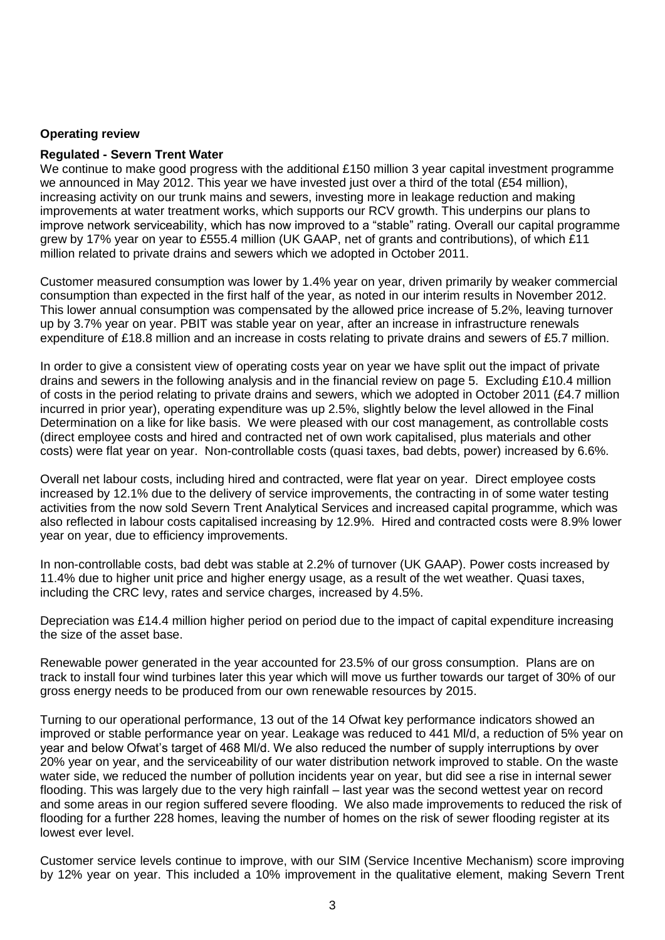### **Operating review**

### **Regulated - Severn Trent Water**

We continue to make good progress with the additional £150 million 3 year capital investment programme we announced in May 2012. This year we have invested just over a third of the total (£54 million), increasing activity on our trunk mains and sewers, investing more in leakage reduction and making improvements at water treatment works, which supports our RCV growth. This underpins our plans to improve network serviceability, which has now improved to a "stable" rating. Overall our capital programme grew by 17% year on year to £555.4 million (UK GAAP, net of grants and contributions), of which £11 million related to private drains and sewers which we adopted in October 2011.

Customer measured consumption was lower by 1.4% year on year, driven primarily by weaker commercial consumption than expected in the first half of the year, as noted in our interim results in November 2012. This lower annual consumption was compensated by the allowed price increase of 5.2%, leaving turnover up by 3.7% year on year. PBIT was stable year on year, after an increase in infrastructure renewals expenditure of £18.8 million and an increase in costs relating to private drains and sewers of £5.7 million.

In order to give a consistent view of operating costs year on year we have split out the impact of private drains and sewers in the following analysis and in the financial review on page 5. Excluding £10.4 million of costs in the period relating to private drains and sewers, which we adopted in October 2011 (£4.7 million incurred in prior year), operating expenditure was up 2.5%, slightly below the level allowed in the Final Determination on a like for like basis. We were pleased with our cost management, as controllable costs (direct employee costs and hired and contracted net of own work capitalised, plus materials and other costs) were flat year on year. Non-controllable costs (quasi taxes, bad debts, power) increased by 6.6%.

Overall net labour costs, including hired and contracted, were flat year on year. Direct employee costs increased by 12.1% due to the delivery of service improvements, the contracting in of some water testing activities from the now sold Severn Trent Analytical Services and increased capital programme, which was also reflected in labour costs capitalised increasing by 12.9%. Hired and contracted costs were 8.9% lower year on year, due to efficiency improvements.

In non-controllable costs, bad debt was stable at 2.2% of turnover (UK GAAP). Power costs increased by 11.4% due to higher unit price and higher energy usage, as a result of the wet weather. Quasi taxes, including the CRC levy, rates and service charges, increased by 4.5%.

Depreciation was £14.4 million higher period on period due to the impact of capital expenditure increasing the size of the asset base.

Renewable power generated in the year accounted for 23.5% of our gross consumption. Plans are on track to install four wind turbines later this year which will move us further towards our target of 30% of our gross energy needs to be produced from our own renewable resources by 2015.

Turning to our operational performance, 13 out of the 14 Ofwat key performance indicators showed an improved or stable performance year on year. Leakage was reduced to 441 Ml/d, a reduction of 5% year on year and below Ofwat's target of 468 Ml/d. We also reduced the number of supply interruptions by over 20% year on year, and the serviceability of our water distribution network improved to stable. On the waste water side, we reduced the number of pollution incidents year on year, but did see a rise in internal sewer flooding. This was largely due to the very high rainfall – last year was the second wettest year on record and some areas in our region suffered severe flooding. We also made improvements to reduced the risk of flooding for a further 228 homes, leaving the number of homes on the risk of sewer flooding register at its lowest ever level.

Customer service levels continue to improve, with our SIM (Service Incentive Mechanism) score improving by 12% year on year. This included a 10% improvement in the qualitative element, making Severn Trent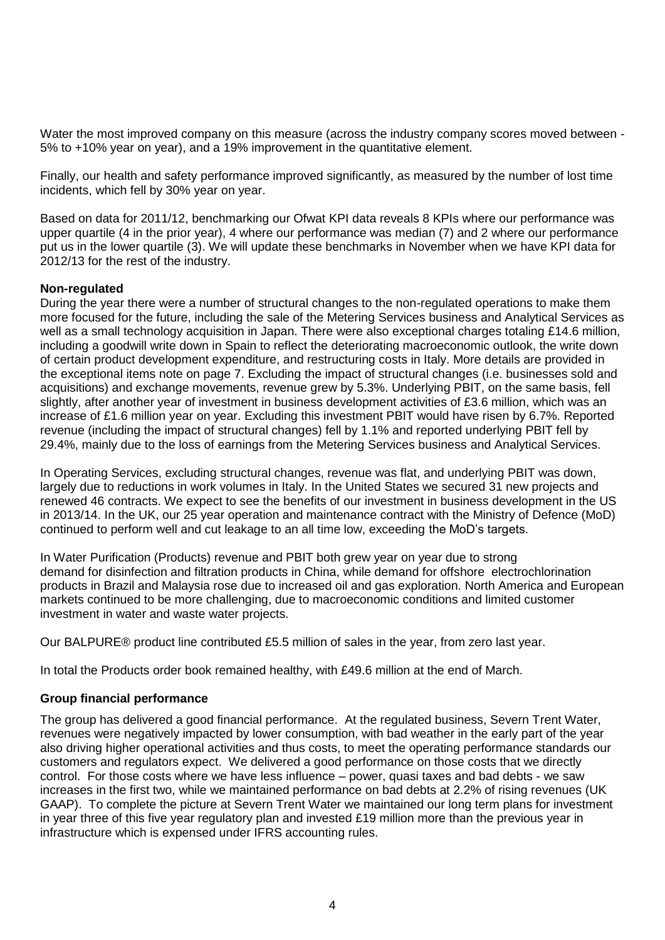Water the most improved company on this measure (across the industry company scores moved between - 5% to +10% year on year), and a 19% improvement in the quantitative element.

Finally, our health and safety performance improved significantly, as measured by the number of lost time incidents, which fell by 30% year on year.

Based on data for 2011/12, benchmarking our Ofwat KPI data reveals 8 KPIs where our performance was upper quartile (4 in the prior year), 4 where our performance was median (7) and 2 where our performance put us in the lower quartile (3). We will update these benchmarks in November when we have KPI data for 2012/13 for the rest of the industry.

# **Non-regulated**

During the year there were a number of structural changes to the non-regulated operations to make them more focused for the future, including the sale of the Metering Services business and Analytical Services as well as a small technology acquisition in Japan. There were also exceptional charges totaling £14.6 million, including a goodwill write down in Spain to reflect the deteriorating macroeconomic outlook, the write down of certain product development expenditure, and restructuring costs in Italy. More details are provided in the exceptional items note on page 7. Excluding the impact of structural changes (i.e. businesses sold and acquisitions) and exchange movements, revenue grew by 5.3%. Underlying PBIT, on the same basis, fell slightly, after another year of investment in business development activities of £3.6 million, which was an increase of £1.6 million year on year. Excluding this investment PBIT would have risen by 6.7%. Reported revenue (including the impact of structural changes) fell by 1.1% and reported underlying PBIT fell by 29.4%, mainly due to the loss of earnings from the Metering Services business and Analytical Services.

In Operating Services, excluding structural changes, revenue was flat, and underlying PBIT was down, largely due to reductions in work volumes in Italy. In the United States we secured 31 new projects and renewed 46 contracts. We expect to see the benefits of our investment in business development in the US in 2013/14. In the UK, our 25 year operation and maintenance contract with the Ministry of Defence (MoD) continued to perform well and cut leakage to an all time low, exceeding the MoD's targets.

In Water Purification (Products) revenue and PBIT both grew year on year due to strong demand for disinfection and filtration products in China, while demand for offshore electrochlorination products in Brazil and Malaysia rose due to increased oil and gas exploration. North America and European markets continued to be more challenging, due to macroeconomic conditions and limited customer investment in water and waste water projects.

Our BALPURE® product line contributed £5.5 million of sales in the year, from zero last year.

In total the Products order book remained healthy, with £49.6 million at the end of March.

# **Group financial performance**

The group has delivered a good financial performance. At the regulated business, Severn Trent Water, revenues were negatively impacted by lower consumption, with bad weather in the early part of the year also driving higher operational activities and thus costs, to meet the operating performance standards our customers and regulators expect. We delivered a good performance on those costs that we directly control. For those costs where we have less influence – power, quasi taxes and bad debts - we saw increases in the first two, while we maintained performance on bad debts at 2.2% of rising revenues (UK GAAP). To complete the picture at Severn Trent Water we maintained our long term plans for investment in year three of this five year regulatory plan and invested £19 million more than the previous year in infrastructure which is expensed under IFRS accounting rules.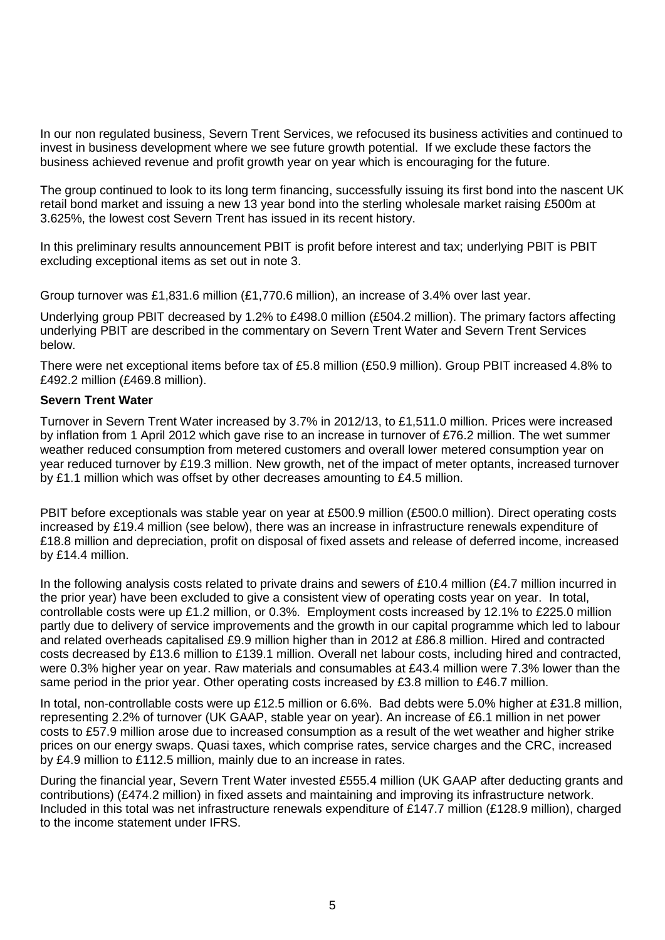In our non regulated business, Severn Trent Services, we refocused its business activities and continued to invest in business development where we see future growth potential. If we exclude these factors the business achieved revenue and profit growth year on year which is encouraging for the future.

The group continued to look to its long term financing, successfully issuing its first bond into the nascent UK retail bond market and issuing a new 13 year bond into the sterling wholesale market raising £500m at 3.625%, the lowest cost Severn Trent has issued in its recent history.

In this preliminary results announcement PBIT is profit before interest and tax; underlying PBIT is PBIT excluding exceptional items as set out in note 3.

Group turnover was £1,831.6 million (£1,770.6 million), an increase of 3.4% over last year.

Underlying group PBIT decreased by 1.2% to £498.0 million (£504.2 million). The primary factors affecting underlying PBIT are described in the commentary on Severn Trent Water and Severn Trent Services below.

There were net exceptional items before tax of £5.8 million (£50.9 million). Group PBIT increased 4.8% to £492.2 million (£469.8 million).

### **Severn Trent Water**

Turnover in Severn Trent Water increased by 3.7% in 2012/13, to £1,511.0 million. Prices were increased by inflation from 1 April 2012 which gave rise to an increase in turnover of £76.2 million. The wet summer weather reduced consumption from metered customers and overall lower metered consumption year on year reduced turnover by £19.3 million. New growth, net of the impact of meter optants, increased turnover by £1.1 million which was offset by other decreases amounting to £4.5 million.

PBIT before exceptionals was stable year on year at £500.9 million (£500.0 million). Direct operating costs increased by £19.4 million (see below), there was an increase in infrastructure renewals expenditure of £18.8 million and depreciation, profit on disposal of fixed assets and release of deferred income, increased by £14.4 million.

In the following analysis costs related to private drains and sewers of £10.4 million (£4.7 million incurred in the prior year) have been excluded to give a consistent view of operating costs year on year. In total, controllable costs were up £1.2 million, or 0.3%. Employment costs increased by 12.1% to £225.0 million partly due to delivery of service improvements and the growth in our capital programme which led to labour and related overheads capitalised £9.9 million higher than in 2012 at £86.8 million. Hired and contracted costs decreased by £13.6 million to £139.1 million. Overall net labour costs, including hired and contracted, were 0.3% higher year on year. Raw materials and consumables at £43.4 million were 7.3% lower than the same period in the prior year. Other operating costs increased by £3.8 million to £46.7 million.

In total, non-controllable costs were up £12.5 million or 6.6%. Bad debts were 5.0% higher at £31.8 million, representing 2.2% of turnover (UK GAAP, stable year on year). An increase of £6.1 million in net power costs to £57.9 million arose due to increased consumption as a result of the wet weather and higher strike prices on our energy swaps. Quasi taxes, which comprise rates, service charges and the CRC, increased by £4.9 million to £112.5 million, mainly due to an increase in rates.

During the financial year, Severn Trent Water invested £555.4 million (UK GAAP after deducting grants and contributions) (£474.2 million) in fixed assets and maintaining and improving its infrastructure network. Included in this total was net infrastructure renewals expenditure of £147.7 million (£128.9 million), charged to the income statement under IFRS.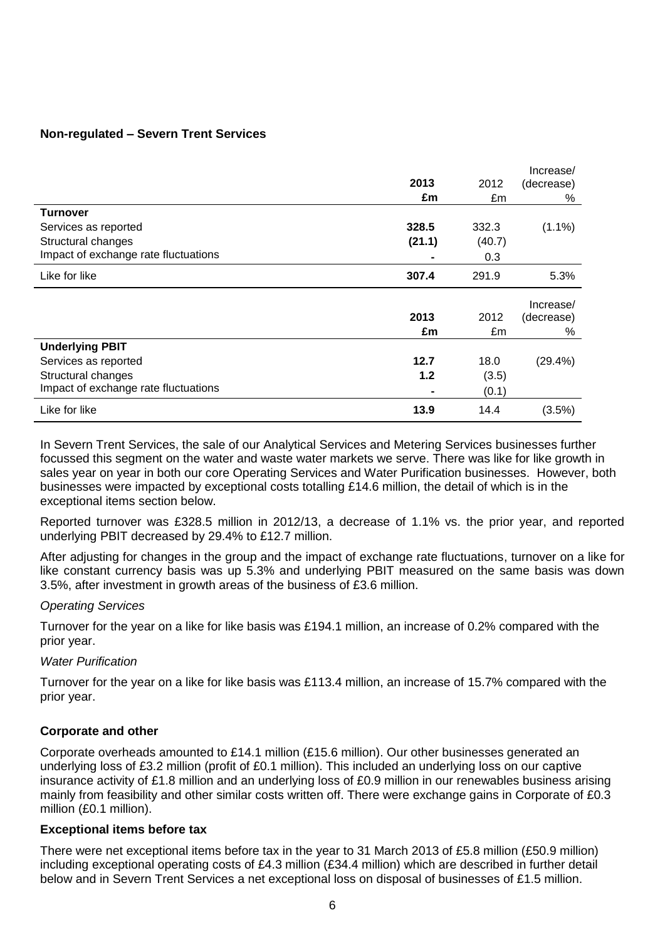# **Non-regulated – Severn Trent Services**

|                                      |                |        | Increase/  |
|--------------------------------------|----------------|--------|------------|
|                                      | 2013           | 2012   | (decrease) |
|                                      | £m             | £m     | %          |
| <b>Turnover</b>                      |                |        |            |
| Services as reported                 | 328.5          | 332.3  | $(1.1\%)$  |
| Structural changes                   | (21.1)         | (40.7) |            |
| Impact of exchange rate fluctuations |                | 0.3    |            |
| Like for like                        | 307.4          | 291.9  | 5.3%       |
|                                      |                |        | Increase/  |
|                                      | 2013           | 2012   | (decrease) |
|                                      | £m             | £m     | %          |
| <b>Underlying PBIT</b>               |                |        |            |
| Services as reported                 | 12.7           | 18.0   | $(29.4\%)$ |
| Structural changes                   | 1.2            | (3.5)  |            |
| Impact of exchange rate fluctuations | $\blacksquare$ | (0.1)  |            |
| Like for like                        | 13.9           | 14.4   | (3.5%)     |

In Severn Trent Services, the sale of our Analytical Services and Metering Services businesses further focussed this segment on the water and waste water markets we serve. There was like for like growth in sales year on year in both our core Operating Services and Water Purification businesses. However, both businesses were impacted by exceptional costs totalling £14.6 million, the detail of which is in the exceptional items section below.

Reported turnover was £328.5 million in 2012/13, a decrease of 1.1% vs. the prior year, and reported underlying PBIT decreased by 29.4% to £12.7 million.

After adjusting for changes in the group and the impact of exchange rate fluctuations, turnover on a like for like constant currency basis was up 5.3% and underlying PBIT measured on the same basis was down 3.5%, after investment in growth areas of the business of £3.6 million.

# *Operating Services*

Turnover for the year on a like for like basis was £194.1 million, an increase of 0.2% compared with the prior year.

# *Water Purification*

Turnover for the year on a like for like basis was £113.4 million, an increase of 15.7% compared with the prior year.

# **Corporate and other**

Corporate overheads amounted to £14.1 million (£15.6 million). Our other businesses generated an underlying loss of £3.2 million (profit of £0.1 million). This included an underlying loss on our captive insurance activity of £1.8 million and an underlying loss of £0.9 million in our renewables business arising mainly from feasibility and other similar costs written off. There were exchange gains in Corporate of £0.3 million (£0.1 million).

### **Exceptional items before tax**

There were net exceptional items before tax in the year to 31 March 2013 of £5.8 million (£50.9 million) including exceptional operating costs of £4.3 million (£34.4 million) which are described in further detail below and in Severn Trent Services a net exceptional loss on disposal of businesses of £1.5 million.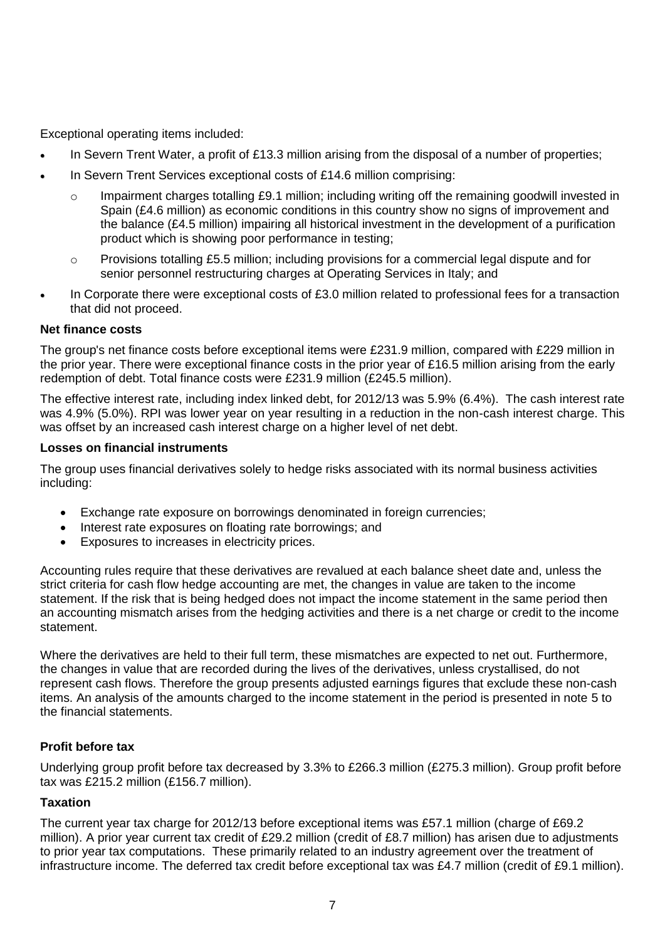Exceptional operating items included:

- In Severn Trent Water, a profit of £13.3 million arising from the disposal of a number of properties;
- In Severn Trent Services exceptional costs of £14.6 million comprising:
	- $\circ$  Impairment charges totalling £9.1 million; including writing off the remaining goodwill invested in Spain (£4.6 million) as economic conditions in this country show no signs of improvement and the balance (£4.5 million) impairing all historical investment in the development of a purification product which is showing poor performance in testing;
	- $\circ$  Provisions totalling £5.5 million; including provisions for a commercial legal dispute and for senior personnel restructuring charges at Operating Services in Italy; and
- In Corporate there were exceptional costs of £3.0 million related to professional fees for a transaction that did not proceed.

# **Net finance costs**

The group's net finance costs before exceptional items were £231.9 million, compared with £229 million in the prior year. There were exceptional finance costs in the prior year of £16.5 million arising from the early redemption of debt. Total finance costs were £231.9 million (£245.5 million).

The effective interest rate, including index linked debt, for 2012/13 was 5.9% (6.4%). The cash interest rate was 4.9% (5.0%). RPI was lower year on year resulting in a reduction in the non-cash interest charge. This was offset by an increased cash interest charge on a higher level of net debt.

### **Losses on financial instruments**

The group uses financial derivatives solely to hedge risks associated with its normal business activities including:

- Exchange rate exposure on borrowings denominated in foreign currencies;
- Interest rate exposures on floating rate borrowings; and
- Exposures to increases in electricity prices.

Accounting rules require that these derivatives are revalued at each balance sheet date and, unless the strict criteria for cash flow hedge accounting are met, the changes in value are taken to the income statement. If the risk that is being hedged does not impact the income statement in the same period then an accounting mismatch arises from the hedging activities and there is a net charge or credit to the income statement.

Where the derivatives are held to their full term, these mismatches are expected to net out. Furthermore, the changes in value that are recorded during the lives of the derivatives, unless crystallised, do not represent cash flows. Therefore the group presents adjusted earnings figures that exclude these non-cash items. An analysis of the amounts charged to the income statement in the period is presented in note 5 to the financial statements.

# **Profit before tax**

Underlying group profit before tax decreased by 3.3% to £266.3 million (£275.3 million). Group profit before tax was £215.2 million (£156.7 million).

# **Taxation**

The current year tax charge for 2012/13 before exceptional items was £57.1 million (charge of £69.2 million). A prior year current tax credit of £29.2 million (credit of £8.7 million) has arisen due to adjustments to prior year tax computations. These primarily related to an industry agreement over the treatment of infrastructure income. The deferred tax credit before exceptional tax was £4.7 million (credit of £9.1 million).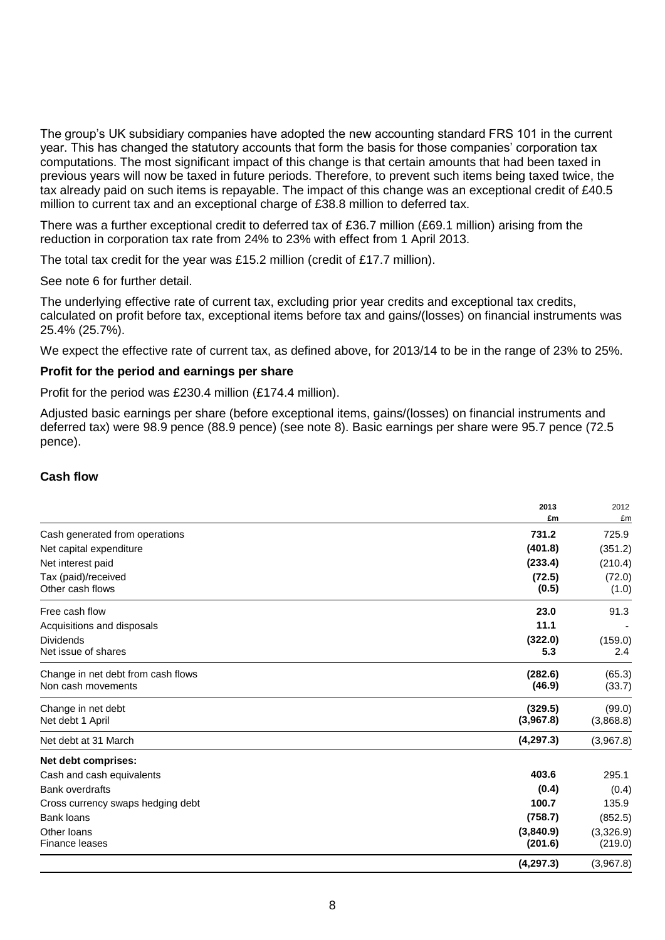The group's UK subsidiary companies have adopted the new accounting standard FRS 101 in the current year. This has changed the statutory accounts that form the basis for those companies' corporation tax computations. The most significant impact of this change is that certain amounts that had been taxed in previous years will now be taxed in future periods. Therefore, to prevent such items being taxed twice, the tax already paid on such items is repayable. The impact of this change was an exceptional credit of £40.5 million to current tax and an exceptional charge of £38.8 million to deferred tax.

There was a further exceptional credit to deferred tax of £36.7 million (£69.1 million) arising from the reduction in corporation tax rate from 24% to 23% with effect from 1 April 2013.

The total tax credit for the year was £15.2 million (credit of £17.7 million).

See note 6 for further detail.

The underlying effective rate of current tax, excluding prior year credits and exceptional tax credits, calculated on profit before tax, exceptional items before tax and gains/(losses) on financial instruments was 25.4% (25.7%).

We expect the effective rate of current tax, as defined above, for 2013/14 to be in the range of 23% to 25%.

### **Profit for the period and earnings per share**

Profit for the period was £230.4 million (£174.4 million).

Adjusted basic earnings per share (before exceptional items, gains/(losses) on financial instruments and deferred tax) were 98.9 pence (88.9 pence) (see note 8). Basic earnings per share were 95.7 pence (72.5 pence).

#### **Cash flow**

|                                                          | 2013                 | 2012                 |
|----------------------------------------------------------|----------------------|----------------------|
|                                                          | £m                   | £m                   |
| Cash generated from operations                           | 731.2                | 725.9                |
| Net capital expenditure                                  | (401.8)              | (351.2)              |
| Net interest paid                                        | (233.4)              | (210.4)              |
| Tax (paid)/received<br>Other cash flows                  | (72.5)<br>(0.5)      | (72.0)<br>(1.0)      |
| Free cash flow                                           | 23.0                 | 91.3                 |
| Acquisitions and disposals                               | 11.1                 |                      |
| <b>Dividends</b><br>Net issue of shares                  | (322.0)<br>5.3       | (159.0)<br>2.4       |
| Change in net debt from cash flows<br>Non cash movements | (282.6)<br>(46.9)    | (65.3)<br>(33.7)     |
| Change in net debt<br>Net debt 1 April                   | (329.5)<br>(3,967.8) | (99.0)<br>(3,868.8)  |
| Net debt at 31 March                                     | (4, 297.3)           | (3,967.8)            |
| Net debt comprises:                                      |                      |                      |
| Cash and cash equivalents                                | 403.6                | 295.1                |
| <b>Bank overdrafts</b>                                   | (0.4)                | (0.4)                |
| Cross currency swaps hedging debt                        | 100.7                | 135.9                |
| <b>Bank loans</b>                                        | (758.7)              | (852.5)              |
| Other loans<br><b>Finance leases</b>                     | (3,840.9)<br>(201.6) | (3,326.9)<br>(219.0) |
|                                                          | (4, 297.3)           | (3,967.8)            |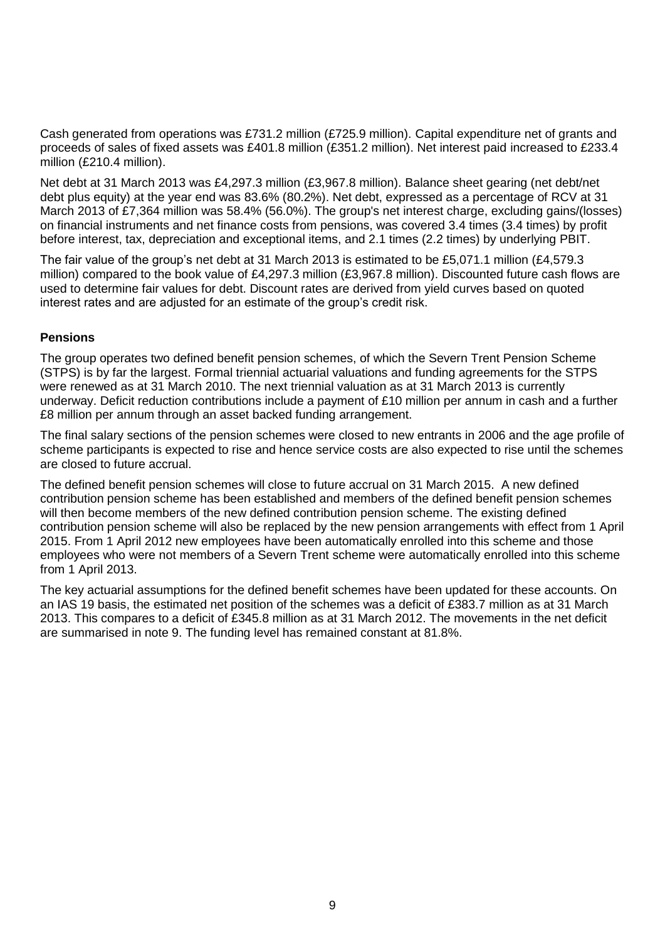Cash generated from operations was £731.2 million (£725.9 million). Capital expenditure net of grants and proceeds of sales of fixed assets was £401.8 million (£351.2 million). Net interest paid increased to £233.4 million (£210.4 million).

Net debt at 31 March 2013 was £4,297.3 million (£3,967.8 million). Balance sheet gearing (net debt/net debt plus equity) at the year end was 83.6% (80.2%). Net debt, expressed as a percentage of RCV at 31 March 2013 of £7,364 million was 58.4% (56.0%). The group's net interest charge, excluding gains/(losses) on financial instruments and net finance costs from pensions, was covered 3.4 times (3.4 times) by profit before interest, tax, depreciation and exceptional items, and 2.1 times (2.2 times) by underlying PBIT.

The fair value of the group's net debt at 31 March 2013 is estimated to be £5,071.1 million (£4,579.3 million) compared to the book value of £4,297.3 million (£3,967.8 million). Discounted future cash flows are used to determine fair values for debt. Discount rates are derived from yield curves based on quoted interest rates and are adjusted for an estimate of the group's credit risk.

# **Pensions**

The group operates two defined benefit pension schemes, of which the Severn Trent Pension Scheme (STPS) is by far the largest. Formal triennial actuarial valuations and funding agreements for the STPS were renewed as at 31 March 2010. The next triennial valuation as at 31 March 2013 is currently underway. Deficit reduction contributions include a payment of £10 million per annum in cash and a further £8 million per annum through an asset backed funding arrangement.

The final salary sections of the pension schemes were closed to new entrants in 2006 and the age profile of scheme participants is expected to rise and hence service costs are also expected to rise until the schemes are closed to future accrual.

The defined benefit pension schemes will close to future accrual on 31 March 2015. A new defined contribution pension scheme has been established and members of the defined benefit pension schemes will then become members of the new defined contribution pension scheme. The existing defined contribution pension scheme will also be replaced by the new pension arrangements with effect from 1 April 2015. From 1 April 2012 new employees have been automatically enrolled into this scheme and those employees who were not members of a Severn Trent scheme were automatically enrolled into this scheme from 1 April 2013.

The key actuarial assumptions for the defined benefit schemes have been updated for these accounts. On an IAS 19 basis, the estimated net position of the schemes was a deficit of £383.7 million as at 31 March 2013. This compares to a deficit of £345.8 million as at 31 March 2012. The movements in the net deficit are summarised in note 9. The funding level has remained constant at 81.8%.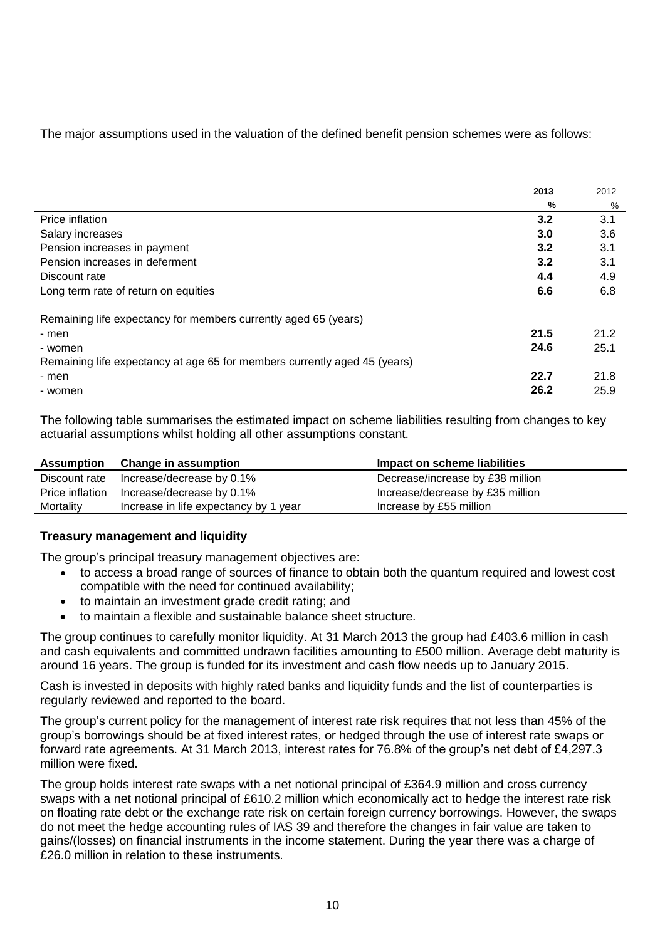# The major assumptions used in the valuation of the defined benefit pension schemes were as follows:

|                                                                           | 2013 | 2012 |
|---------------------------------------------------------------------------|------|------|
|                                                                           | %    | %    |
| Price inflation                                                           | 3.2  | 3.1  |
| Salary increases                                                          | 3.0  | 3.6  |
| Pension increases in payment                                              | 3.2  | 3.1  |
| Pension increases in deferment                                            | 3.2  | 3.1  |
| Discount rate                                                             | 4.4  | 4.9  |
| Long term rate of return on equities                                      | 6.6  | 6.8  |
| Remaining life expectancy for members currently aged 65 (years)           |      |      |
| - men                                                                     | 21.5 | 21.2 |
| - women                                                                   | 24.6 | 25.1 |
| Remaining life expectancy at age 65 for members currently aged 45 (years) |      |      |
| - men                                                                     | 22.7 | 21.8 |
| - women                                                                   | 26.2 | 25.9 |

The following table summarises the estimated impact on scheme liabilities resulting from changes to key actuarial assumptions whilst holding all other assumptions constant.

|           | Assumption Change in assumption           | Impact on scheme liabilities     |  |
|-----------|-------------------------------------------|----------------------------------|--|
|           | Discount rate Increase/decrease by 0.1%   | Decrease/increase by £38 million |  |
|           | Price inflation Increase/decrease by 0.1% | Increase/decrease by £35 million |  |
| Mortality | Increase in life expectancy by 1<br>vear  | Increase by £55 million          |  |

# **Treasury management and liquidity**

The group's principal treasury management objectives are:

- to access a broad range of sources of finance to obtain both the quantum required and lowest cost compatible with the need for continued availability;
- to maintain an investment grade credit rating; and
- to maintain a flexible and sustainable balance sheet structure.

The group continues to carefully monitor liquidity. At 31 March 2013 the group had £403.6 million in cash and cash equivalents and committed undrawn facilities amounting to £500 million. Average debt maturity is around 16 years. The group is funded for its investment and cash flow needs up to January 2015.

Cash is invested in deposits with highly rated banks and liquidity funds and the list of counterparties is regularly reviewed and reported to the board.

The group's current policy for the management of interest rate risk requires that not less than 45% of the group's borrowings should be at fixed interest rates, or hedged through the use of interest rate swaps or forward rate agreements. At 31 March 2013, interest rates for 76.8% of the group's net debt of £4,297.3 million were fixed.

The group holds interest rate swaps with a net notional principal of £364.9 million and cross currency swaps with a net notional principal of £610.2 million which economically act to hedge the interest rate risk on floating rate debt or the exchange rate risk on certain foreign currency borrowings. However, the swaps do not meet the hedge accounting rules of IAS 39 and therefore the changes in fair value are taken to gains/(losses) on financial instruments in the income statement. During the year there was a charge of £26.0 million in relation to these instruments.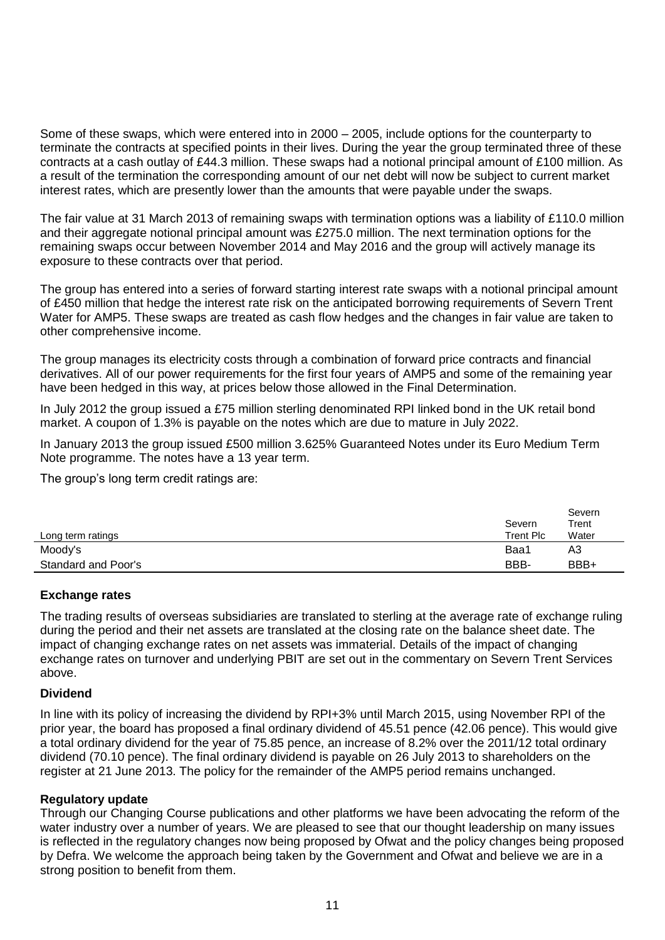Some of these swaps, which were entered into in 2000 – 2005, include options for the counterparty to terminate the contracts at specified points in their lives. During the year the group terminated three of these contracts at a cash outlay of £44.3 million. These swaps had a notional principal amount of £100 million. As a result of the termination the corresponding amount of our net debt will now be subject to current market interest rates, which are presently lower than the amounts that were payable under the swaps.

The fair value at 31 March 2013 of remaining swaps with termination options was a liability of £110.0 million and their aggregate notional principal amount was £275.0 million. The next termination options for the remaining swaps occur between November 2014 and May 2016 and the group will actively manage its exposure to these contracts over that period.

The group has entered into a series of forward starting interest rate swaps with a notional principal amount of £450 million that hedge the interest rate risk on the anticipated borrowing requirements of Severn Trent Water for AMP5. These swaps are treated as cash flow hedges and the changes in fair value are taken to other comprehensive income.

The group manages its electricity costs through a combination of forward price contracts and financial derivatives. All of our power requirements for the first four years of AMP5 and some of the remaining year have been hedged in this way, at prices below those allowed in the Final Determination.

In July 2012 the group issued a £75 million sterling denominated RPI linked bond in the UK retail bond market. A coupon of 1.3% is payable on the notes which are due to mature in July 2022.

In January 2013 the group issued £500 million 3.625% Guaranteed Notes under its Euro Medium Term Note programme. The notes have a 13 year term.

The group's long term credit ratings are:

|                            | Severn           | Severn<br>Trent |
|----------------------------|------------------|-----------------|
| Long term ratings          | <b>Trent Plc</b> | Water           |
| Moody's                    | Baa1             | A3              |
| <b>Standard and Poor's</b> | BBB-             | BBB+            |

# **Exchange rates**

The trading results of overseas subsidiaries are translated to sterling at the average rate of exchange ruling during the period and their net assets are translated at the closing rate on the balance sheet date. The impact of changing exchange rates on net assets was immaterial. Details of the impact of changing exchange rates on turnover and underlying PBIT are set out in the commentary on Severn Trent Services above.

### **Dividend**

In line with its policy of increasing the dividend by RPI+3% until March 2015, using November RPI of the prior year, the board has proposed a final ordinary dividend of 45.51 pence (42.06 pence). This would give a total ordinary dividend for the year of 75.85 pence, an increase of 8.2% over the 2011/12 total ordinary dividend (70.10 pence). The final ordinary dividend is payable on 26 July 2013 to shareholders on the register at 21 June 2013. The policy for the remainder of the AMP5 period remains unchanged.

### **Regulatory update**

Through our Changing Course publications and other platforms we have been advocating the reform of the water industry over a number of years. We are pleased to see that our thought leadership on many issues is reflected in the regulatory changes now being proposed by Ofwat and the policy changes being proposed by Defra. We welcome the approach being taken by the Government and Ofwat and believe we are in a strong position to benefit from them.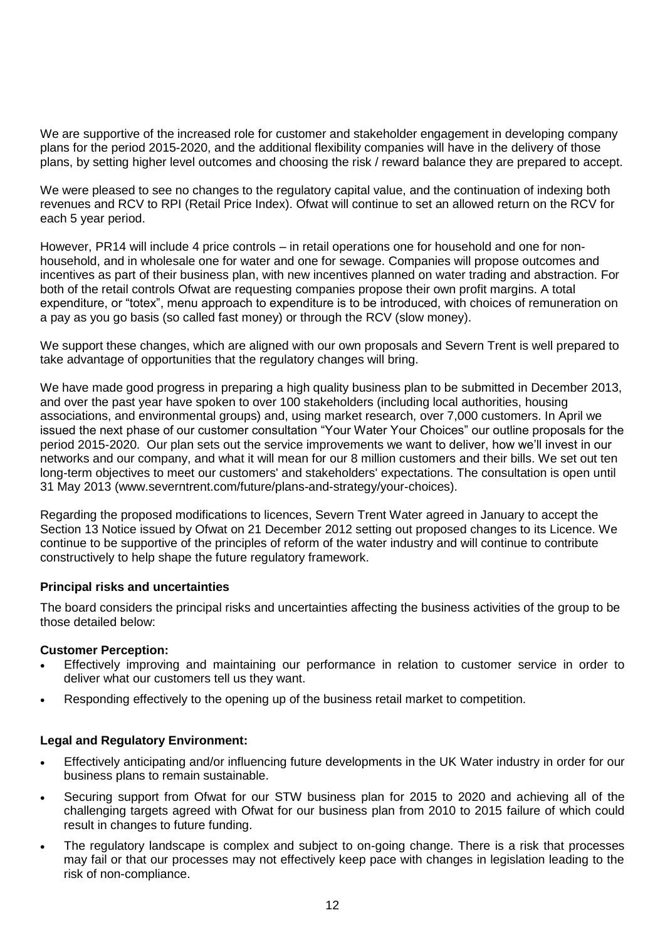We are supportive of the increased role for customer and stakeholder engagement in developing company plans for the period 2015-2020, and the additional flexibility companies will have in the delivery of those plans, by setting higher level outcomes and choosing the risk / reward balance they are prepared to accept.

We were pleased to see no changes to the regulatory capital value, and the continuation of indexing both revenues and RCV to RPI (Retail Price Index). Ofwat will continue to set an allowed return on the RCV for each 5 year period.

However, PR14 will include 4 price controls – in retail operations one for household and one for nonhousehold, and in wholesale one for water and one for sewage. Companies will propose outcomes and incentives as part of their business plan, with new incentives planned on water trading and abstraction. For both of the retail controls Ofwat are requesting companies propose their own profit margins. A total expenditure, or "totex", menu approach to expenditure is to be introduced, with choices of remuneration on a pay as you go basis (so called fast money) or through the RCV (slow money).

We support these changes, which are aligned with our own proposals and Severn Trent is well prepared to take advantage of opportunities that the regulatory changes will bring.

We have made good progress in preparing a high quality business plan to be submitted in December 2013, and over the past year have spoken to over 100 stakeholders (including local authorities, housing associations, and environmental groups) and, using market research, over 7,000 customers. In April we issued the next phase of our customer consultation "Your Water Your Choices" our outline proposals for the period 2015-2020. Our plan sets out the service improvements we want to deliver, how we'll invest in our networks and our company, and what it will mean for our 8 million customers and their bills. We set out ten long-term objectives to meet our customers' and stakeholders' expectations. The consultation is open until 31 May 2013 (www.severntrent.com/future/plans-and-strategy/your-choices).

Regarding the proposed modifications to licences, Severn Trent Water agreed in January to accept the Section 13 Notice issued by Ofwat on 21 December 2012 setting out proposed changes to its Licence. We continue to be supportive of the principles of reform of the water industry and will continue to contribute constructively to help shape the future regulatory framework.

# **Principal risks and uncertainties**

The board considers the principal risks and uncertainties affecting the business activities of the group to be those detailed below:

### **Customer Perception:**

- Effectively improving and maintaining our performance in relation to customer service in order to deliver what our customers tell us they want.
- Responding effectively to the opening up of the business retail market to competition.

# **Legal and Regulatory Environment:**

- Effectively anticipating and/or influencing future developments in the UK Water industry in order for our business plans to remain sustainable.
- Securing support from Ofwat for our STW business plan for 2015 to 2020 and achieving all of the challenging targets agreed with Ofwat for our business plan from 2010 to 2015 failure of which could result in changes to future funding.
- The regulatory landscape is complex and subject to on-going change. There is a risk that processes may fail or that our processes may not effectively keep pace with changes in legislation leading to the risk of non-compliance.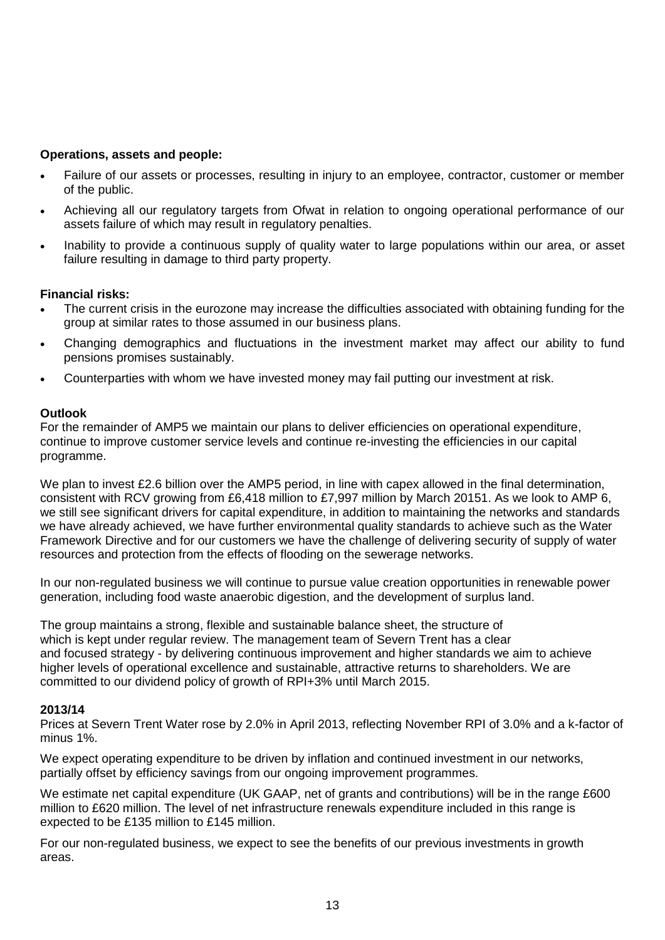# **Operations, assets and people:**

- Failure of our assets or processes, resulting in injury to an employee, contractor, customer or member of the public.
- Achieving all our regulatory targets from Ofwat in relation to ongoing operational performance of our assets failure of which may result in regulatory penalties.
- Inability to provide a continuous supply of quality water to large populations within our area, or asset failure resulting in damage to third party property.

# **Financial risks:**

- The current crisis in the eurozone may increase the difficulties associated with obtaining funding for the group at similar rates to those assumed in our business plans.
- Changing demographics and fluctuations in the investment market may affect our ability to fund pensions promises sustainably.
- Counterparties with whom we have invested money may fail putting our investment at risk.

### **Outlook**

For the remainder of AMP5 we maintain our plans to deliver efficiencies on operational expenditure, continue to improve customer service levels and continue re-investing the efficiencies in our capital programme.

We plan to invest £2.6 billion over the AMP5 period, in line with capex allowed in the final determination, consistent with RCV growing from £6,418 million to £7,997 million by March 20151. As we look to AMP 6, we still see significant drivers for capital expenditure, in addition to maintaining the networks and standards we have already achieved, we have further environmental quality standards to achieve such as the Water Framework Directive and for our customers we have the challenge of delivering security of supply of water resources and protection from the effects of flooding on the sewerage networks.

In our non-regulated business we will continue to pursue value creation opportunities in renewable power generation, including food waste anaerobic digestion, and the development of surplus land.

The group maintains a strong, flexible and sustainable balance sheet, the structure of which is kept under regular review. The management team of Severn Trent has a clear and focused strategy - by delivering continuous improvement and higher standards we aim to achieve higher levels of operational excellence and sustainable, attractive returns to shareholders. We are committed to our dividend policy of growth of RPI+3% until March 2015.

### **2013/14**

Prices at Severn Trent Water rose by 2.0% in April 2013, reflecting November RPI of 3.0% and a k-factor of minus 1%.

We expect operating expenditure to be driven by inflation and continued investment in our networks, partially offset by efficiency savings from our ongoing improvement programmes.

We estimate net capital expenditure (UK GAAP, net of grants and contributions) will be in the range £600 million to £620 million. The level of net infrastructure renewals expenditure included in this range is expected to be £135 million to £145 million.

For our non-regulated business, we expect to see the benefits of our previous investments in growth areas.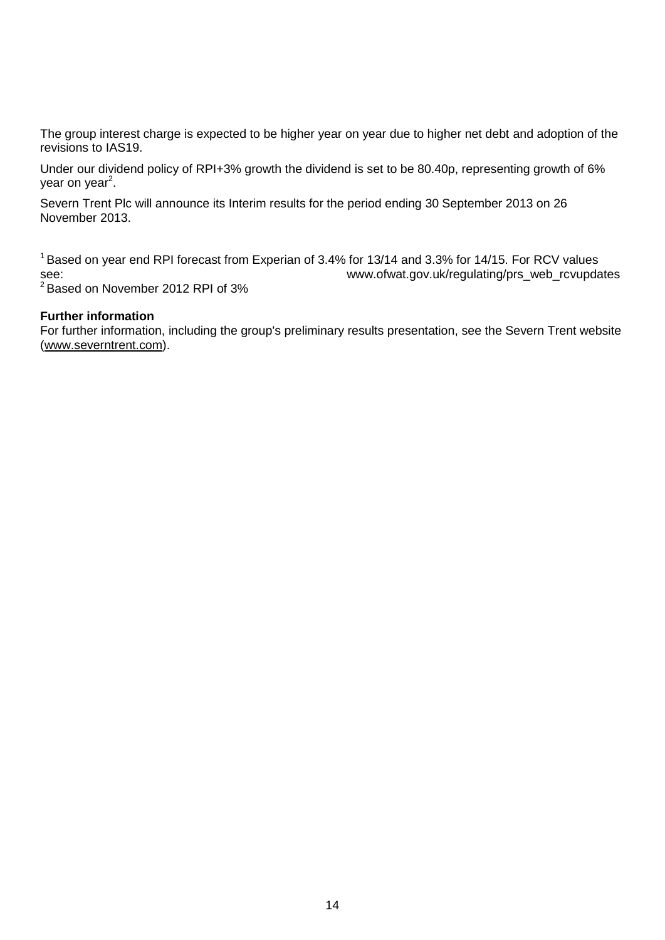The group interest charge is expected to be higher year on year due to higher net debt and adoption of the revisions to IAS19.

Under our dividend policy of RPI+3% growth the dividend is set to be 80.40p, representing growth of 6% year on year<sup>2</sup>.

Severn Trent Plc will announce its Interim results for the period ending 30 September 2013 on 26 November 2013.

<sup>1</sup> Based on year end RPI forecast from Experian of 3.4% for 13/14 and 3.3% for 14/15. For RCV values see: www.ofwat.gov.uk/regulating/prs\_web\_rcvupdates

<sup>2</sup> Based on November 2012 RPI of 3%

### **Further information**

For further information, including the group's preliminary results presentation, see the Severn Trent website (www.severntrent.com).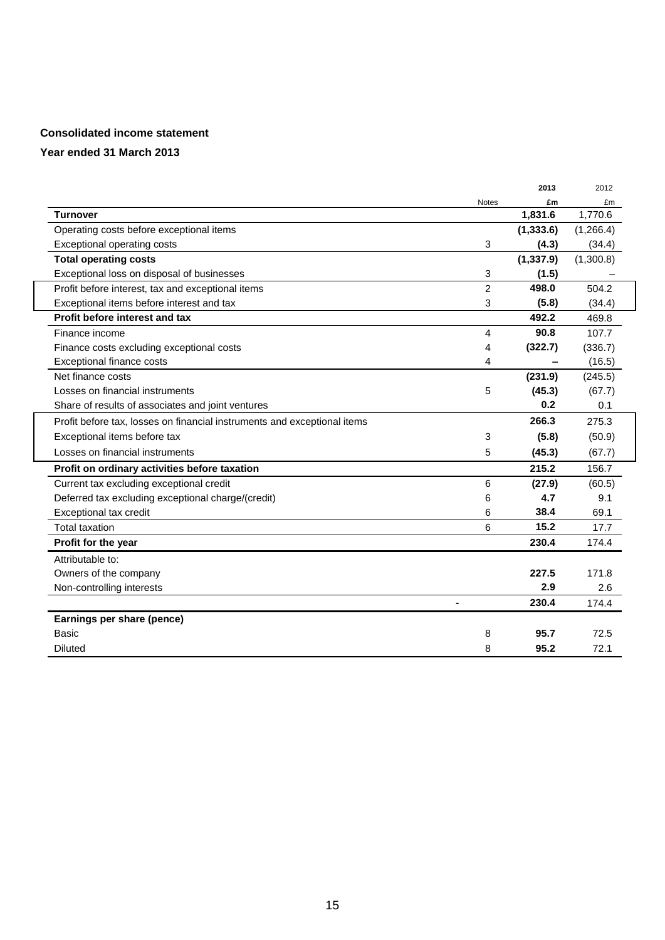### **Consolidated income statement**

|                                                                          |                | 2013       | 2012      |
|--------------------------------------------------------------------------|----------------|------------|-----------|
|                                                                          | <b>Notes</b>   | £m         | £m        |
| <b>Turnover</b>                                                          |                | 1,831.6    | 1,770.6   |
| Operating costs before exceptional items                                 |                | (1, 333.6) | (1,266.4) |
| <b>Exceptional operating costs</b>                                       | 3              | (4.3)      | (34.4)    |
| <b>Total operating costs</b>                                             |                | (1, 337.9) | (1,300.8) |
| Exceptional loss on disposal of businesses                               | 3              | (1.5)      |           |
| Profit before interest, tax and exceptional items                        | $\overline{2}$ | 498.0      | 504.2     |
| Exceptional items before interest and tax                                | 3              | (5.8)      | (34.4)    |
| Profit before interest and tax                                           |                | 492.2      | 469.8     |
| Finance income                                                           | 4              | 90.8       | 107.7     |
| Finance costs excluding exceptional costs                                | 4              | (322.7)    | (336.7)   |
| Exceptional finance costs                                                | 4              |            | (16.5)    |
| Net finance costs                                                        |                | (231.9)    | (245.5)   |
| Losses on financial instruments                                          | 5              | (45.3)     | (67.7)    |
| Share of results of associates and joint ventures                        |                | 0.2        | 0.1       |
| Profit before tax, losses on financial instruments and exceptional items |                | 266.3      | 275.3     |
| Exceptional items before tax                                             | 3              | (5.8)      | (50.9)    |
| Losses on financial instruments                                          | 5              | (45.3)     | (67.7)    |
| Profit on ordinary activities before taxation                            |                | 215.2      | 156.7     |
| Current tax excluding exceptional credit                                 | 6              | (27.9)     | (60.5)    |
| Deferred tax excluding exceptional charge/(credit)                       | 6              | 4.7        | 9.1       |
| Exceptional tax credit                                                   | 6              | 38.4       | 69.1      |
| Total taxation                                                           | 6              | 15.2       | 17.7      |
| Profit for the year                                                      |                | 230.4      | 174.4     |
| Attributable to:                                                         |                |            |           |
| Owners of the company                                                    |                | 227.5      | 171.8     |
| Non-controlling interests                                                |                | 2.9        | 2.6       |
|                                                                          |                | 230.4      | 174.4     |
| Earnings per share (pence)                                               |                |            |           |
| Basic                                                                    | 8              | 95.7       | 72.5      |
| <b>Diluted</b>                                                           | 8              | 95.2       | 72.1      |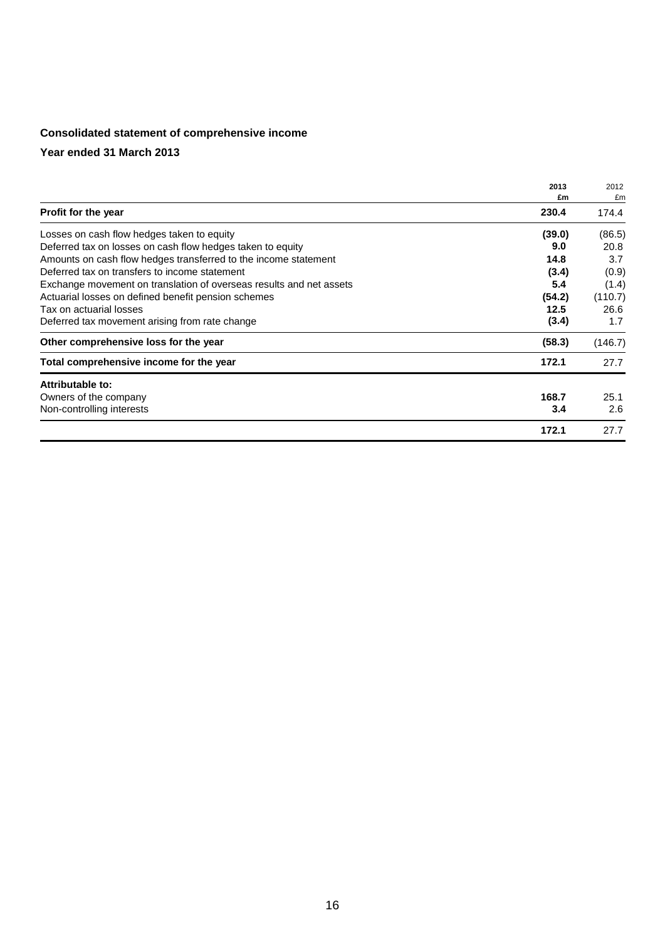# **Consolidated statement of comprehensive income**

|                                                                     | 2013<br>£m | 2012<br>£m |
|---------------------------------------------------------------------|------------|------------|
| Profit for the year                                                 | 230.4      | 174.4      |
| Losses on cash flow hedges taken to equity                          | (39.0)     | (86.5)     |
| Deferred tax on losses on cash flow hedges taken to equity          | 9.0        | 20.8       |
| Amounts on cash flow hedges transferred to the income statement     | 14.8       | 3.7        |
| Deferred tax on transfers to income statement                       | (3.4)      | (0.9)      |
| Exchange movement on translation of overseas results and net assets | 5.4        | (1.4)      |
| Actuarial losses on defined benefit pension schemes                 | (54.2)     | (110.7)    |
| Tax on actuarial losses                                             | 12.5       | 26.6       |
| Deferred tax movement arising from rate change                      | (3.4)      | 1.7        |
| Other comprehensive loss for the year                               | (58.3)     | (146.7)    |
| Total comprehensive income for the year                             | 172.1      | 27.7       |
| Attributable to:                                                    |            |            |
| Owners of the company                                               | 168.7      | 25.1       |
| Non-controlling interests                                           | 3.4        | 2.6        |
|                                                                     | 172.1      | 27.7       |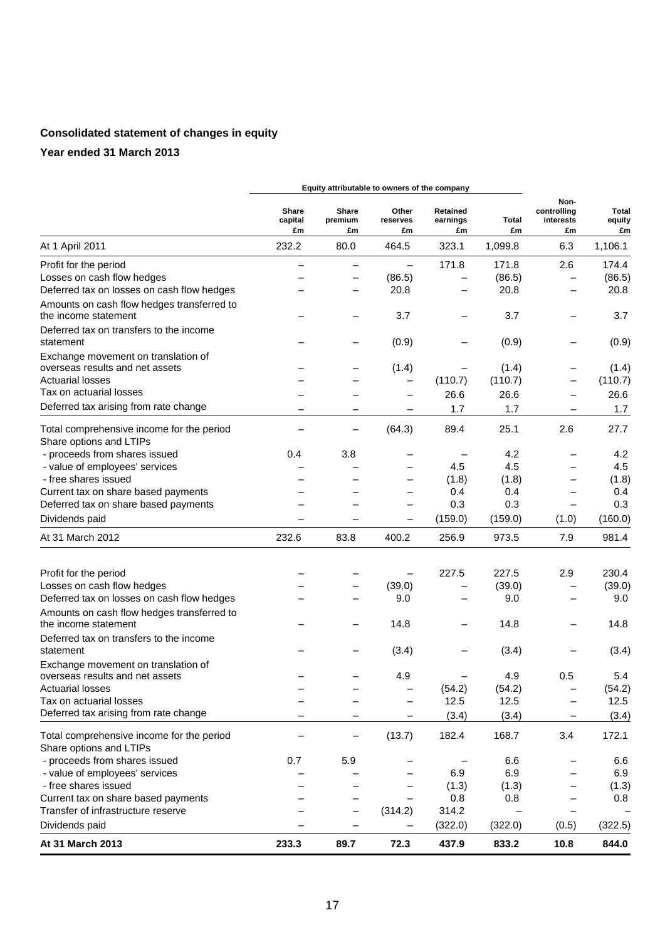# **Consolidated statement of changes in equity**

|                                                                      |                        |                        | Equity attributable to owners of the company |                            |                          |                                        |                              |
|----------------------------------------------------------------------|------------------------|------------------------|----------------------------------------------|----------------------------|--------------------------|----------------------------------------|------------------------------|
|                                                                      | Share<br>capital<br>£m | Share<br>premium<br>£m | Other<br>reserves<br>£m                      | Retained<br>earnings<br>£m | Total<br>£m              | Non-<br>controlling<br>interests<br>£m | <b>Total</b><br>equity<br>£m |
| At 1 April 2011                                                      | 232.2                  | 80.0                   | 464.5                                        | 323.1                      | 1,099.8                  | 6.3                                    | 1,106.1                      |
| Profit for the period                                                |                        |                        | $\qquad \qquad -$                            | 171.8                      | 171.8                    | 2.6                                    | 174.4                        |
| Losses on cash flow hedges                                           |                        |                        | (86.5)                                       |                            | (86.5)                   | $\overline{\phantom{0}}$               | (86.5)                       |
| Deferred tax on losses on cash flow hedges                           |                        |                        | 20.8                                         |                            | 20.8                     |                                        | 20.8                         |
| Amounts on cash flow hedges transferred to                           |                        |                        |                                              |                            |                          |                                        |                              |
| the income statement                                                 |                        |                        | 3.7                                          |                            | 3.7                      | $\overline{\phantom{0}}$               | 3.7                          |
| Deferred tax on transfers to the income                              |                        |                        |                                              |                            |                          |                                        |                              |
| statement                                                            |                        |                        | (0.9)                                        |                            | (0.9)                    | -                                      | (0.9)                        |
| Exchange movement on translation of                                  |                        |                        |                                              |                            |                          |                                        |                              |
| overseas results and net assets                                      |                        |                        | (1.4)                                        |                            | (1.4)                    | -                                      | (1.4)                        |
| <b>Actuarial losses</b>                                              |                        |                        | $\qquad \qquad -$                            | (110.7)                    | (110.7)                  |                                        | (110.7)                      |
| Tax on actuarial losses                                              |                        |                        | $\qquad \qquad$                              | 26.6                       | 26.6                     |                                        | 26.6                         |
| Deferred tax arising from rate change                                |                        |                        | $\qquad \qquad -$                            | 1.7                        | 1.7                      | -                                      | 1.7                          |
|                                                                      |                        |                        |                                              |                            |                          |                                        | 27.7                         |
| Total comprehensive income for the period<br>Share options and LTIPs | —                      | —                      | (64.3)                                       | 89.4                       | 25.1                     | 2.6                                    |                              |
| - proceeds from shares issued                                        | 0.4                    | 3.8                    |                                              |                            | 4.2                      | -                                      | 4.2                          |
| - value of employees' services                                       |                        |                        |                                              | 4.5                        | 4.5                      |                                        | 4.5                          |
| - free shares issued                                                 |                        |                        |                                              | (1.8)                      | (1.8)                    | $\overline{\phantom{0}}$               | (1.8)                        |
| Current tax on share based payments                                  |                        |                        |                                              | 0.4                        | 0.4                      |                                        | 0.4                          |
| Deferred tax on share based payments                                 |                        |                        | $\overline{\phantom{0}}$                     | 0.3                        | 0.3                      | $\overline{\phantom{0}}$               | 0.3                          |
| Dividends paid                                                       |                        |                        |                                              | (159.0)                    | (159.0)                  | (1.0)                                  | (160.0)                      |
| At 31 March 2012                                                     | 232.6                  | 83.8                   | 400.2                                        | 256.9                      | 973.5                    | 7.9                                    | 981.4                        |
|                                                                      |                        |                        |                                              |                            |                          |                                        |                              |
|                                                                      |                        |                        |                                              |                            |                          |                                        |                              |
| Profit for the period                                                |                        |                        |                                              | 227.5                      | 227.5                    | 2.9                                    | 230.4                        |
| Losses on cash flow hedges                                           |                        | -                      | (39.0)                                       |                            | (39.0)                   | -                                      | (39.0)                       |
| Deferred tax on losses on cash flow hedges                           |                        |                        | 9.0                                          |                            | 9.0                      |                                        | 9.0                          |
| Amounts on cash flow hedges transferred to                           |                        |                        |                                              |                            |                          |                                        |                              |
| the income statement                                                 |                        |                        | 14.8                                         |                            | 14.8                     |                                        | 14.8                         |
| Deferred tax on transfers to the income                              |                        |                        |                                              |                            |                          |                                        |                              |
| statement                                                            |                        |                        | (3.4)                                        |                            | (3.4)                    |                                        | (3.4)                        |
| Exchange movement on translation of                                  |                        |                        |                                              |                            |                          |                                        |                              |
| overseas results and net assets                                      |                        |                        | 4.9                                          |                            | 4.9                      | 0.5                                    | 5.4                          |
| <b>Actuarial losses</b>                                              |                        |                        |                                              | (54.2)                     | (54.2)                   |                                        | (54.2)                       |
| Tax on actuarial losses<br>Deferred tax arising from rate change     |                        |                        |                                              | 12.5                       | 12.5                     |                                        | 12.5                         |
|                                                                      |                        |                        |                                              | (3.4)                      | (3.4)                    | -                                      | (3.4)                        |
| Total comprehensive income for the period                            |                        | -                      | (13.7)                                       | 182.4                      | 168.7                    | 3.4                                    | 172.1                        |
| Share options and LTIPs                                              |                        |                        |                                              |                            |                          |                                        |                              |
| - proceeds from shares issued                                        | 0.7                    | 5.9                    |                                              |                            | 6.6                      |                                        | 6.6                          |
| - value of employees' services                                       |                        |                        |                                              | 6.9                        | 6.9                      |                                        | 6.9                          |
| - free shares issued                                                 |                        |                        |                                              | (1.3)                      | (1.3)                    |                                        | (1.3)                        |
| Current tax on share based payments                                  |                        |                        |                                              | 0.8                        | 0.8                      |                                        | 0.8                          |
| Transfer of infrastructure reserve                                   |                        |                        | (314.2)                                      | 314.2                      | $\overline{\phantom{0}}$ | $\qquad \qquad -$                      |                              |
| Dividends paid                                                       |                        | -                      |                                              | (322.0)                    | (322.0)                  | (0.5)                                  | (322.5)                      |
| At 31 March 2013                                                     | 233.3                  | 89.7                   | 72.3                                         | 437.9                      | 833.2                    | 10.8                                   | 844.0                        |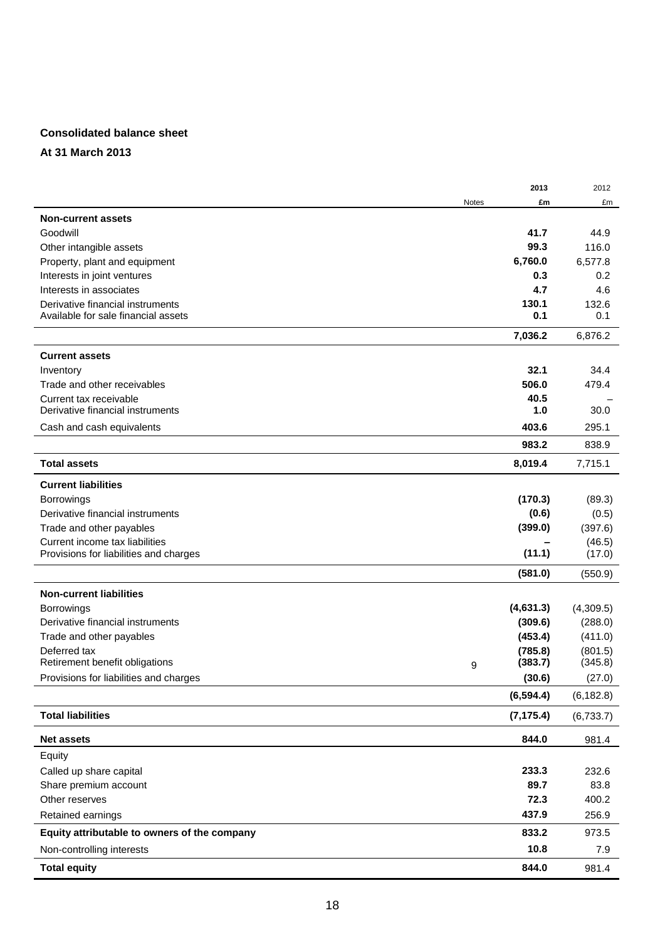### **Consolidated balance sheet**

**At 31 March 2013**

|                                              |              | 2013       | 2012       |
|----------------------------------------------|--------------|------------|------------|
|                                              | <b>Notes</b> | £m         | £m         |
| <b>Non-current assets</b>                    |              |            |            |
| Goodwill                                     |              | 41.7       | 44.9       |
| Other intangible assets                      |              | 99.3       | 116.0      |
| Property, plant and equipment                |              | 6,760.0    | 6,577.8    |
| Interests in joint ventures                  |              | 0.3        | 0.2        |
| Interests in associates                      |              | 4.7        | 4.6        |
| Derivative financial instruments             |              | 130.1      | 132.6      |
| Available for sale financial assets          |              | 0.1        | 0.1        |
|                                              |              | 7,036.2    | 6,876.2    |
| <b>Current assets</b>                        |              |            |            |
| Inventory                                    |              | 32.1       | 34.4       |
| Trade and other receivables                  |              | 506.0      | 479.4      |
| Current tax receivable                       |              | 40.5       |            |
| Derivative financial instruments             |              | 1.0        | 30.0       |
| Cash and cash equivalents                    |              | 403.6      | 295.1      |
|                                              |              | 983.2      | 838.9      |
| <b>Total assets</b>                          |              | 8,019.4    | 7,715.1    |
| <b>Current liabilities</b>                   |              |            |            |
| Borrowings                                   |              | (170.3)    | (89.3)     |
| Derivative financial instruments             |              | (0.6)      | (0.5)      |
| Trade and other payables                     |              | (399.0)    | (397.6)    |
| Current income tax liabilities               |              |            | (46.5)     |
| Provisions for liabilities and charges       |              | (11.1)     | (17.0)     |
|                                              |              | (581.0)    | (550.9)    |
| <b>Non-current liabilities</b>               |              |            |            |
| Borrowings                                   |              | (4,631.3)  | (4,309.5)  |
| Derivative financial instruments             |              | (309.6)    | (288.0)    |
| Trade and other payables                     |              | (453.4)    | (411.0)    |
| Deferred tax                                 |              | (785.8)    | (801.5)    |
| Retirement benefit obligations               | 9            | (383.7)    | (345.8)    |
| Provisions for liabilities and charges       |              | (30.6)     | (27.0)     |
|                                              |              | (6, 594.4) | (6, 182.8) |
| <b>Total liabilities</b>                     |              | (7, 175.4) | (6,733.7)  |
| <b>Net assets</b>                            |              | 844.0      | 981.4      |
| Equity                                       |              |            |            |
| Called up share capital                      |              | 233.3      | 232.6      |
| Share premium account                        |              | 89.7       | 83.8       |
| Other reserves                               |              | 72.3       | 400.2      |
| Retained earnings                            |              | 437.9      | 256.9      |
| Equity attributable to owners of the company |              | 833.2      | 973.5      |
| Non-controlling interests                    |              | 10.8       | 7.9        |
| <b>Total equity</b>                          |              | 844.0      | 981.4      |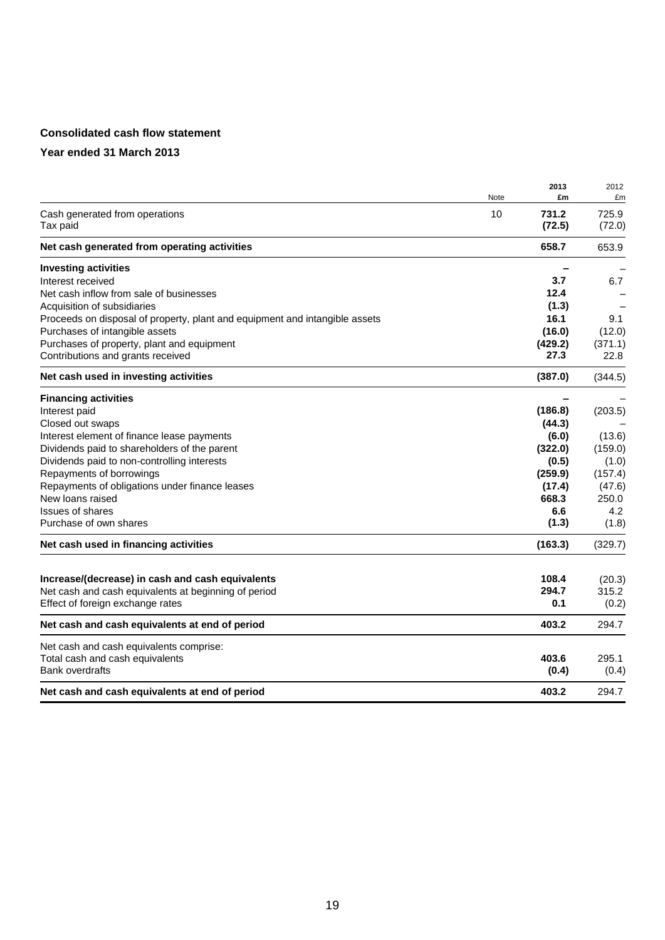# **Consolidated cash flow statement**

|                                                                             | Note | 2013<br>£m      | 2012<br>£m      |
|-----------------------------------------------------------------------------|------|-----------------|-----------------|
| Cash generated from operations<br>Tax paid                                  | 10   | 731.2<br>(72.5) | 725.9<br>(72.0) |
| Net cash generated from operating activities                                |      | 658.7           | 653.9           |
| <b>Investing activities</b>                                                 |      |                 |                 |
| Interest received                                                           |      | 3.7             | 6.7             |
| Net cash inflow from sale of businesses                                     |      | 12.4            |                 |
| Acquisition of subsidiaries                                                 |      | (1.3)           |                 |
| Proceeds on disposal of property, plant and equipment and intangible assets |      | 16.1            | 9.1             |
| Purchases of intangible assets                                              |      | (16.0)          | (12.0)          |
| Purchases of property, plant and equipment                                  |      | (429.2)         | (371.1)         |
| Contributions and grants received                                           |      | 27.3            | 22.8            |
| Net cash used in investing activities                                       |      | (387.0)         | (344.5)         |
| <b>Financing activities</b>                                                 |      |                 |                 |
| Interest paid                                                               |      | (186.8)         | (203.5)         |
| Closed out swaps                                                            |      | (44.3)          |                 |
| Interest element of finance lease payments                                  |      | (6.0)           | (13.6)          |
| Dividends paid to shareholders of the parent                                |      | (322.0)         | (159.0)         |
| Dividends paid to non-controlling interests                                 |      | (0.5)           | (1.0)           |
| Repayments of borrowings                                                    |      | (259.9)         | (157.4)         |
| Repayments of obligations under finance leases                              |      | (17.4)          | (47.6)          |
| New loans raised                                                            |      | 668.3           | 250.0           |
| <b>Issues of shares</b>                                                     |      | 6.6             | 4.2             |
| Purchase of own shares                                                      |      | (1.3)           | (1.8)           |
| Net cash used in financing activities                                       |      | (163.3)         | (329.7)         |
| Increase/(decrease) in cash and cash equivalents                            |      | 108.4           | (20.3)          |
| Net cash and cash equivalents at beginning of period                        |      | 294.7           | 315.2           |
| Effect of foreign exchange rates                                            |      | 0.1             | (0.2)           |
| Net cash and cash equivalents at end of period                              |      | 403.2           | 294.7           |
| Net cash and cash equivalents comprise:                                     |      |                 |                 |
| Total cash and cash equivalents                                             |      | 403.6           | 295.1           |
| <b>Bank overdrafts</b>                                                      |      | (0.4)           | (0.4)           |
| Net cash and cash equivalents at end of period                              |      | 403.2           | 294.7           |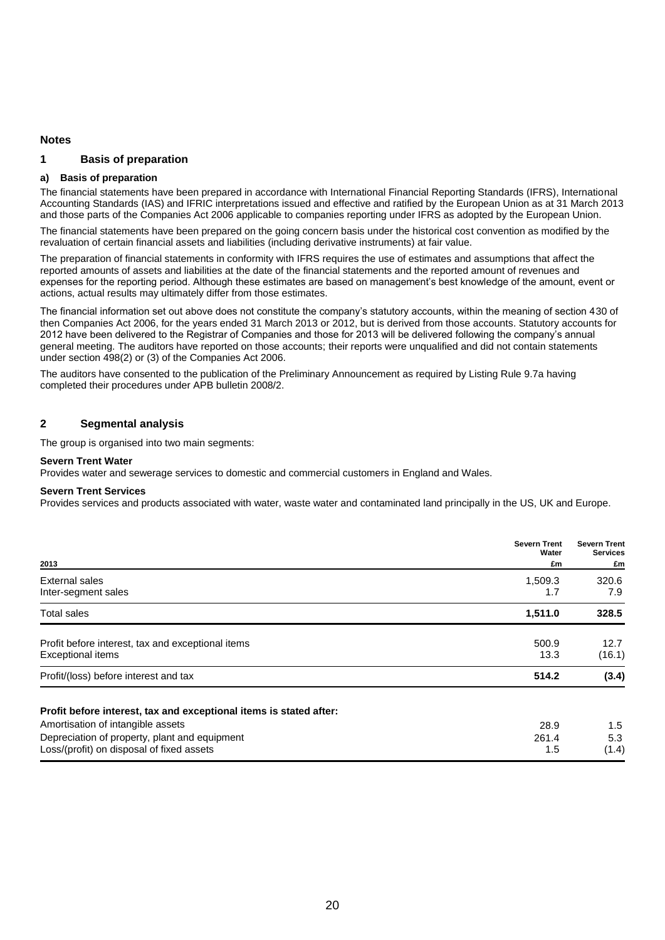#### **Notes**

#### **1 Basis of preparation**

#### **a) Basis of preparation**

The financial statements have been prepared in accordance with International Financial Reporting Standards (IFRS), International Accounting Standards (IAS) and IFRIC interpretations issued and effective and ratified by the European Union as at 31 March 2013 and those parts of the Companies Act 2006 applicable to companies reporting under IFRS as adopted by the European Union.

The financial statements have been prepared on the going concern basis under the historical cost convention as modified by the revaluation of certain financial assets and liabilities (including derivative instruments) at fair value.

The preparation of financial statements in conformity with IFRS requires the use of estimates and assumptions that affect the reported amounts of assets and liabilities at the date of the financial statements and the reported amount of revenues and expenses for the reporting period. Although these estimates are based on management's best knowledge of the amount, event or actions, actual results may ultimately differ from those estimates.

The financial information set out above does not constitute the company's statutory accounts, within the meaning of section 430 of then Companies Act 2006, for the years ended 31 March 2013 or 2012, but is derived from those accounts. Statutory accounts for 2012 have been delivered to the Registrar of Companies and those for 2013 will be delivered following the company's annual general meeting. The auditors have reported on those accounts; their reports were unqualified and did not contain statements under section 498(2) or (3) of the Companies Act 2006.

The auditors have consented to the publication of the Preliminary Announcement as required by Listing Rule 9.7a having completed their procedures under APB bulletin 2008/2.

#### **2 Segmental analysis**

The group is organised into two main segments:

#### **Severn Trent Water**

Provides water and sewerage services to domestic and commercial customers in England and Wales.

#### **Severn Trent Services**

Provides services and products associated with water, waste water and contaminated land principally in the US, UK and Europe.

| 2013                                                                                                                                                                                                  | <b>Severn Trent</b><br>Water<br>£m | <b>Severn Trent</b><br><b>Services</b><br>£m |
|-------------------------------------------------------------------------------------------------------------------------------------------------------------------------------------------------------|------------------------------------|----------------------------------------------|
| External sales<br>Inter-segment sales                                                                                                                                                                 | 1.509.3<br>1.7                     | 320.6<br>7.9                                 |
| Total sales                                                                                                                                                                                           | 1,511.0                            | 328.5                                        |
| Profit before interest, tax and exceptional items<br><b>Exceptional items</b>                                                                                                                         | 500.9<br>13.3                      | 12.7<br>(16.1)                               |
| Profit/(loss) before interest and tax                                                                                                                                                                 | 514.2                              | (3.4)                                        |
| Profit before interest, tax and exceptional items is stated after:<br>Amortisation of intangible assets<br>Depreciation of property, plant and equipment<br>Loss/(profit) on disposal of fixed assets | 28.9<br>261.4<br>1.5               | 1.5<br>5.3<br>(1.4)                          |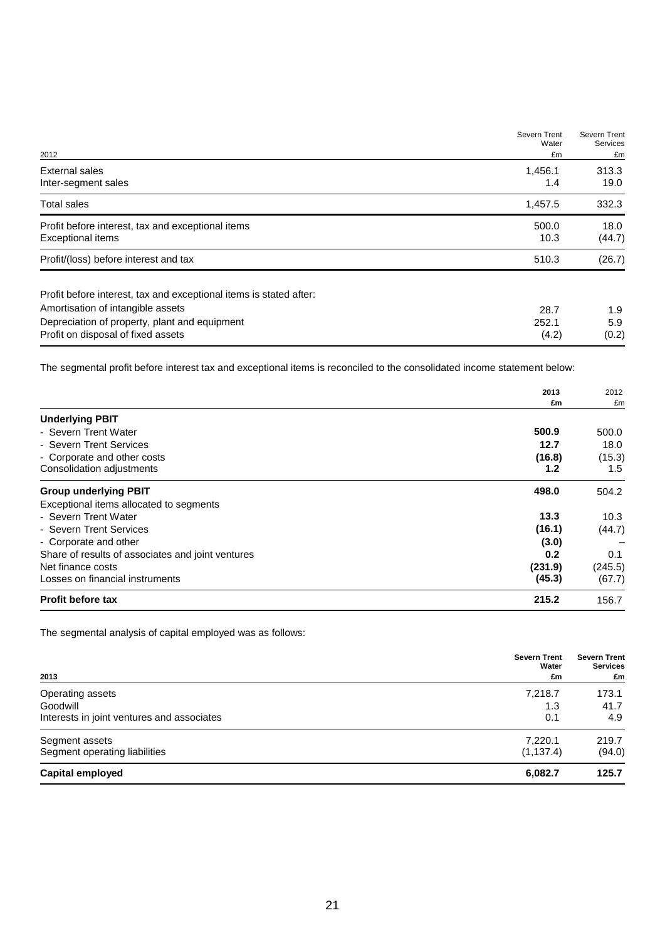|                                                                    | Severn Trent<br>Water | Severn Trent<br>Services |
|--------------------------------------------------------------------|-----------------------|--------------------------|
| 2012                                                               | £m                    | £m                       |
| External sales                                                     | 1,456.1               | 313.3                    |
| Inter-segment sales                                                | 1.4                   | 19.0                     |
| <b>Total sales</b>                                                 | 1,457.5               | 332.3                    |
| Profit before interest, tax and exceptional items                  | 500.0                 | 18.0                     |
| <b>Exceptional items</b>                                           | 10.3                  | (44.7)                   |
| Profit/(loss) before interest and tax                              | 510.3                 | (26.7)                   |
| Profit before interest, tax and exceptional items is stated after: |                       |                          |
| Amortisation of intangible assets                                  | 28.7                  | 1.9                      |
| Depreciation of property, plant and equipment                      | 252.1                 | 5.9                      |
| Profit on disposal of fixed assets                                 | (4.2)                 | (0.2)                    |

The segmental profit before interest tax and exceptional items is reconciled to the consolidated income statement below:

|                                                   | 2013             | 2012    |
|---------------------------------------------------|------------------|---------|
|                                                   | £m               | £m      |
| <b>Underlying PBIT</b>                            |                  |         |
| - Severn Trent Water                              | 500.9            | 500.0   |
| - Severn Trent Services                           | 12.7             | 18.0    |
| - Corporate and other costs                       | (16.8)           | (15.3)  |
| Consolidation adjustments                         | 1.2 <sub>2</sub> | 1.5     |
| <b>Group underlying PBIT</b>                      | 498.0            | 504.2   |
| Exceptional items allocated to segments           |                  |         |
| - Severn Trent Water                              | 13.3             | 10.3    |
| - Severn Trent Services                           | (16.1)           | (44.7)  |
| - Corporate and other                             | (3.0)            |         |
| Share of results of associates and joint ventures | 0.2              | 0.1     |
| Net finance costs                                 | (231.9)          | (245.5) |
| Losses on financial instruments                   | (45.3)           | (67.7)  |
| <b>Profit before tax</b>                          | 215.2            | 156.7   |

The segmental analysis of capital employed was as follows:

| 2013                                            | <b>Severn Trent</b><br>Water<br>£m | <b>Severn Trent</b><br><b>Services</b><br>£m |
|-------------------------------------------------|------------------------------------|----------------------------------------------|
| Operating assets                                | 7,218.7                            | 173.1                                        |
| Goodwill                                        | 1.3                                | 41.7                                         |
| Interests in joint ventures and associates      | 0.1                                | 4.9                                          |
| Segment assets<br>Segment operating liabilities | 7.220.1<br>(1, 137.4)              | 219.7<br>(94.0)                              |
| <b>Capital employed</b>                         | 6,082.7                            | 125.7                                        |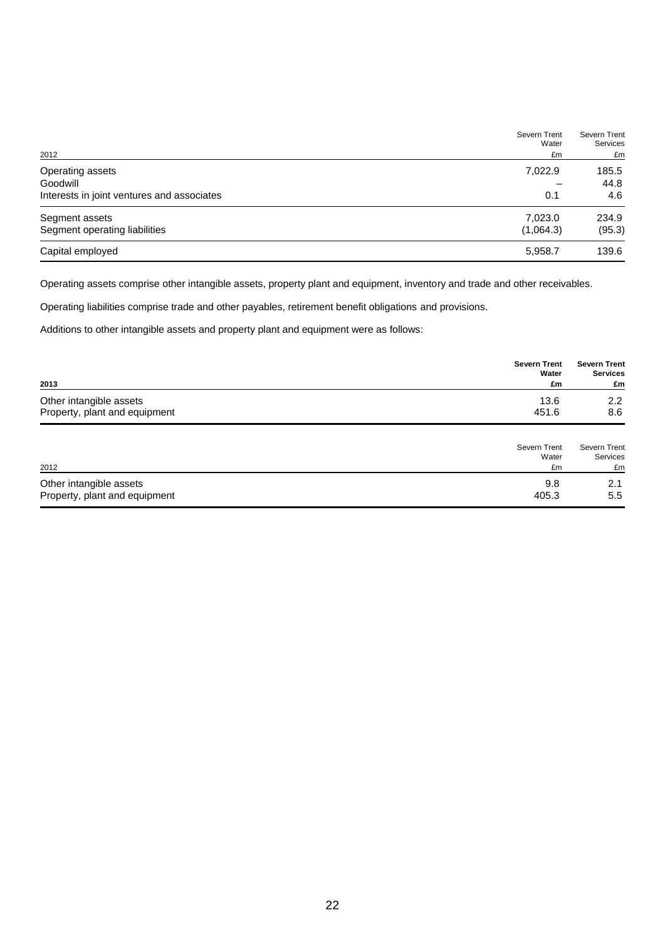|                                            | Severn Trent<br>Water | Severn Trent<br><b>Services</b> |
|--------------------------------------------|-----------------------|---------------------------------|
| 2012                                       | £m                    | £m                              |
| Operating assets                           | 7,022.9               | 185.5                           |
| Goodwill                                   |                       | 44.8                            |
| Interests in joint ventures and associates | 0.1                   | 4.6                             |
| Segment assets                             | 7,023.0               | 234.9                           |
| Segment operating liabilities              | (1,064.3)             | (95.3)                          |
| Capital employed                           | 5,958.7               | 139.6                           |

Operating assets comprise other intangible assets, property plant and equipment, inventory and trade and other receivables.

Operating liabilities comprise trade and other payables, retirement benefit obligations and provisions.

Additions to other intangible assets and property plant and equipment were as follows:

| 2013                                                     | <b>Severn Trent</b><br>Water<br>£m | <b>Severn Trent</b><br><b>Services</b><br>£m |
|----------------------------------------------------------|------------------------------------|----------------------------------------------|
| Other intangible assets<br>Property, plant and equipment | 13.6<br>451.6                      | 2.2<br>8.6                                   |
|                                                          | Severn Trent<br>Water              | Severn Trent<br>Services                     |
| 2012                                                     | £m                                 | £m                                           |

| 2012                          | £m    | £m  |
|-------------------------------|-------|-----|
| Other intangible assets       |       |     |
| Property, plant and equipment | 405.3 | 5.5 |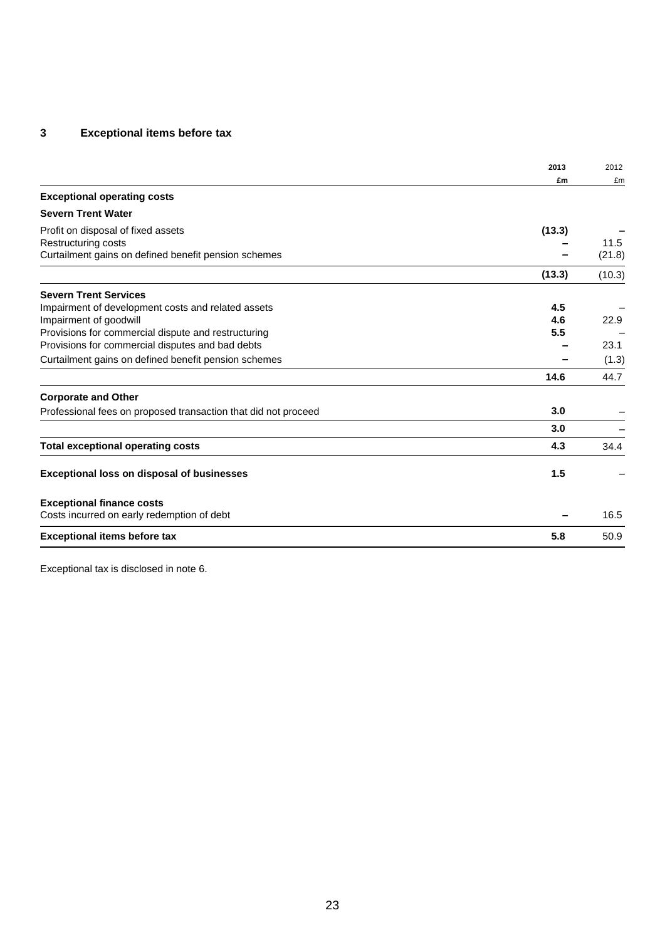# **3 Exceptional items before tax**

|                                                                | 2013   | 2012   |
|----------------------------------------------------------------|--------|--------|
|                                                                | £m     | £m     |
| <b>Exceptional operating costs</b>                             |        |        |
| <b>Severn Trent Water</b>                                      |        |        |
| Profit on disposal of fixed assets                             | (13.3) |        |
| Restructuring costs                                            |        | 11.5   |
| Curtailment gains on defined benefit pension schemes           |        | (21.8) |
|                                                                | (13.3) | (10.3) |
| <b>Severn Trent Services</b>                                   |        |        |
| Impairment of development costs and related assets             | 4.5    |        |
| Impairment of goodwill                                         | 4.6    | 22.9   |
| Provisions for commercial dispute and restructuring            | 5.5    |        |
| Provisions for commercial disputes and bad debts               |        | 23.1   |
| Curtailment gains on defined benefit pension schemes           |        | (1.3)  |
|                                                                | 14.6   | 44.7   |
| <b>Corporate and Other</b>                                     |        |        |
| Professional fees on proposed transaction that did not proceed | 3.0    |        |
|                                                                | 3.0    |        |
| <b>Total exceptional operating costs</b>                       | 4.3    | 34.4   |
| <b>Exceptional loss on disposal of businesses</b>              | 1.5    |        |
| <b>Exceptional finance costs</b>                               |        |        |
| Costs incurred on early redemption of debt                     |        | 16.5   |
| <b>Exceptional items before tax</b>                            | 5.8    | 50.9   |

Exceptional tax is disclosed in note 6.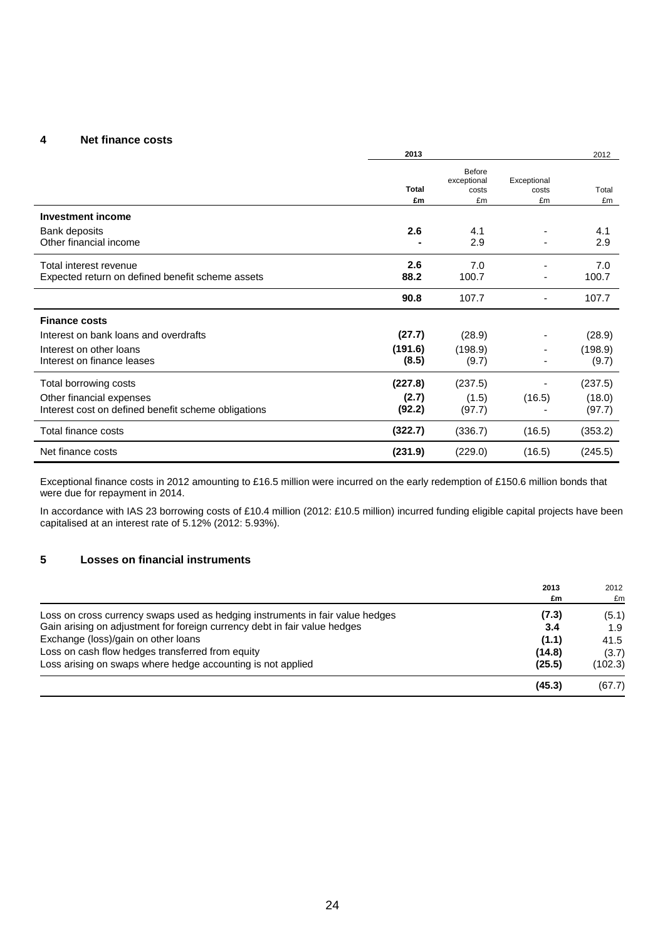#### **4 Net finance costs**

|                                                     | 2013               |                                             |                            | 2012        |
|-----------------------------------------------------|--------------------|---------------------------------------------|----------------------------|-------------|
|                                                     | <b>Total</b><br>£m | <b>Before</b><br>exceptional<br>costs<br>£m | Exceptional<br>costs<br>£m | Total<br>£m |
| <b>Investment income</b>                            |                    |                                             |                            |             |
| Bank deposits                                       | 2.6                | 4.1                                         |                            | 4.1         |
| Other financial income                              |                    | 2.9                                         |                            | 2.9         |
| Total interest revenue                              | 2.6                | 7.0                                         |                            | 7.0         |
| Expected return on defined benefit scheme assets    | 88.2               | 100.7                                       |                            | 100.7       |
|                                                     | 90.8               | 107.7                                       |                            | 107.7       |
| <b>Finance costs</b>                                |                    |                                             |                            |             |
| Interest on bank loans and overdrafts               | (27.7)             | (28.9)                                      |                            | (28.9)      |
| Interest on other loans                             | (191.6)            | (198.9)                                     |                            | (198.9)     |
| Interest on finance leases                          | (8.5)              | (9.7)                                       |                            | (9.7)       |
| Total borrowing costs                               | (227.8)            | (237.5)                                     |                            | (237.5)     |
| Other financial expenses                            | (2.7)              | (1.5)                                       | (16.5)                     | (18.0)      |
| Interest cost on defined benefit scheme obligations | (92.2)             | (97.7)                                      |                            | (97.7)      |
| Total finance costs                                 | (322.7)            | (336.7)                                     | (16.5)                     | (353.2)     |
| Net finance costs                                   | (231.9)            | (229.0)                                     | (16.5)                     | (245.5)     |

Exceptional finance costs in 2012 amounting to £16.5 million were incurred on the early redemption of £150.6 million bonds that were due for repayment in 2014.

In accordance with IAS 23 borrowing costs of £10.4 million (2012: £10.5 million) incurred funding eligible capital projects have been capitalised at an interest rate of 5.12% (2012: 5.93%).

### **5 Losses on financial instruments**

|                                                                               | 2013<br>£m | 2012<br>£m |
|-------------------------------------------------------------------------------|------------|------------|
| Loss on cross currency swaps used as hedging instruments in fair value hedges | (7.3)      | (5.1)      |
| Gain arising on adjustment for foreign currency debt in fair value hedges     | 3.4        | 1.9        |
| Exchange (loss)/gain on other loans                                           | (1.1)      | 41.5       |
| Loss on cash flow hedges transferred from equity                              | (14.8)     | (3.7)      |
| Loss arising on swaps where hedge accounting is not applied                   | (25.5)     | (102.3)    |
|                                                                               | (45.3)     | (67.7)     |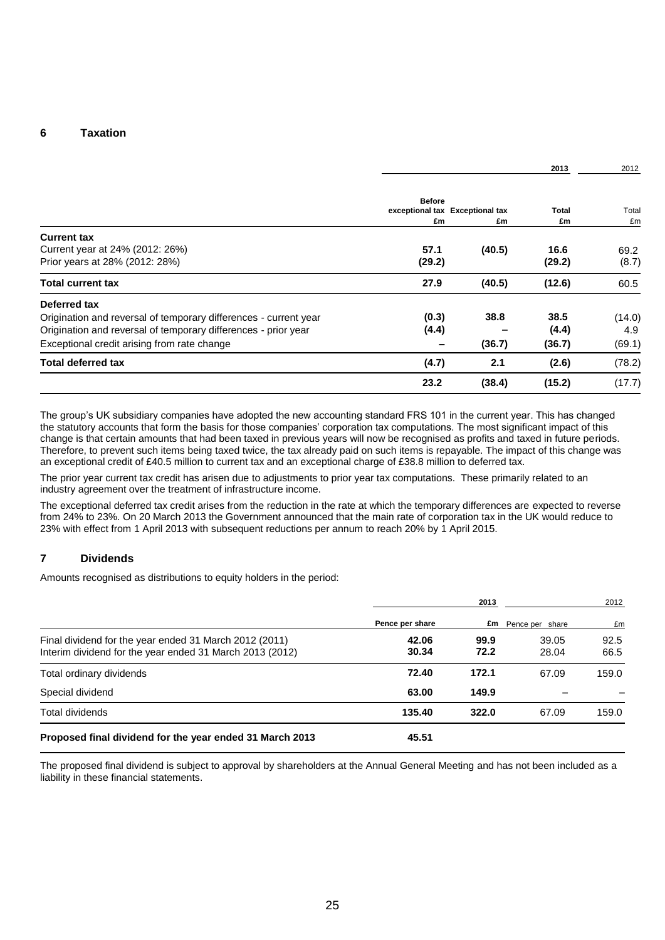#### **6 Taxation**

|                                                                                         |                |                                 | 2013           | 2012          |
|-----------------------------------------------------------------------------------------|----------------|---------------------------------|----------------|---------------|
|                                                                                         | <b>Before</b>  | exceptional tax Exceptional tax | <b>Total</b>   | Total         |
|                                                                                         | £m             | £m                              | £m             | £m            |
| <b>Current tax</b><br>Current year at 24% (2012: 26%)<br>Prior years at 28% (2012: 28%) | 57.1<br>(29.2) | (40.5)                          | 16.6<br>(29.2) | 69.2<br>(8.7) |
| <b>Total current tax</b>                                                                | 27.9           | (40.5)                          | (12.6)         | 60.5          |
| Deferred tax                                                                            |                |                                 |                |               |
| Origination and reversal of temporary differences - current year                        | (0.3)          | 38.8                            | 38.5           | (14.0)        |
| Origination and reversal of temporary differences - prior year                          | (4.4)          |                                 | (4.4)          | 4.9           |
| Exceptional credit arising from rate change                                             |                | (36.7)                          | (36.7)         | (69.1)        |
| <b>Total deferred tax</b>                                                               | (4.7)          | 2.1                             | (2.6)          | (78.2)        |
|                                                                                         | 23.2           | (38.4)                          | (15.2)         | (17.7)        |

The group's UK subsidiary companies have adopted the new accounting standard FRS 101 in the current year. This has changed the statutory accounts that form the basis for those companies' corporation tax computations. The most significant impact of this change is that certain amounts that had been taxed in previous years will now be recognised as profits and taxed in future periods. Therefore, to prevent such items being taxed twice, the tax already paid on such items is repayable. The impact of this change was an exceptional credit of £40.5 million to current tax and an exceptional charge of £38.8 million to deferred tax.

The prior year current tax credit has arisen due to adjustments to prior year tax computations. These primarily related to an industry agreement over the treatment of infrastructure income.

The exceptional deferred tax credit arises from the reduction in the rate at which the temporary differences are expected to reverse from 24% to 23%. On 20 March 2013 the Government announced that the main rate of corporation tax in the UK would reduce to 23% with effect from 1 April 2013 with subsequent reductions per annum to reach 20% by 1 April 2015.

#### **7 Dividends**

Amounts recognised as distributions to equity holders in the period:

|                                                                                                                    | 2013            |              | 2012                      |              |
|--------------------------------------------------------------------------------------------------------------------|-----------------|--------------|---------------------------|--------------|
|                                                                                                                    | Pence per share |              | <b>£m</b> Pence per share | £m           |
| Final dividend for the year ended 31 March 2012 (2011)<br>Interim dividend for the year ended 31 March 2013 (2012) | 42.06<br>30.34  | 99.9<br>72.2 | 39.05<br>28.04            | 92.5<br>66.5 |
| Total ordinary dividends                                                                                           | 72.40           | 172.1        | 67.09                     | 159.0        |
| Special dividend                                                                                                   | 63.00           | 149.9        |                           |              |
| Total dividends                                                                                                    | 135.40          | 322.0        | 67.09                     | 159.0        |
| Proposed final dividend for the year ended 31 March 2013                                                           | 45.51           |              |                           |              |

The proposed final dividend is subject to approval by shareholders at the Annual General Meeting and has not been included as a liability in these financial statements.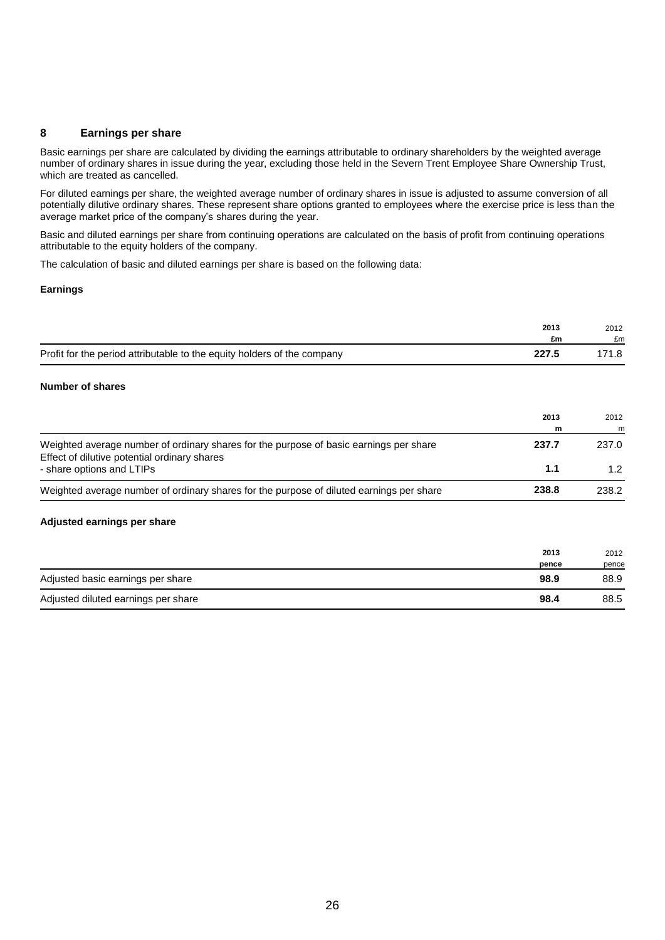#### **8 Earnings per share**

Basic earnings per share are calculated by dividing the earnings attributable to ordinary shareholders by the weighted average number of ordinary shares in issue during the year, excluding those held in the Severn Trent Employee Share Ownership Trust, which are treated as cancelled.

For diluted earnings per share, the weighted average number of ordinary shares in issue is adjusted to assume conversion of all potentially dilutive ordinary shares. These represent share options granted to employees where the exercise price is less than the average market price of the company's shares during the year.

Basic and diluted earnings per share from continuing operations are calculated on the basis of profit from continuing operations attributable to the equity holders of the company.

The calculation of basic and diluted earnings per share is based on the following data:

#### **Earnings**

|                                                                         | 2013<br>£m | 2012<br>£m |
|-------------------------------------------------------------------------|------------|------------|
| Profit for the period attributable to the equity holders of the company | 227.5      | 171.8      |

#### **Number of shares**

|                                                                                                                                        | 2013<br>m | 2012<br>m        |
|----------------------------------------------------------------------------------------------------------------------------------------|-----------|------------------|
| Weighted average number of ordinary shares for the purpose of basic earnings per share<br>Effect of dilutive potential ordinary shares | 237.7     | 237.0            |
| - share options and LTIPs                                                                                                              | 1.1       | 1.2 <sub>1</sub> |
| Weighted average number of ordinary shares for the purpose of diluted earnings per share                                               | 238.8     | 238.2            |

#### **Adjusted earnings per share**

|                                     | 2013  | 2012  |
|-------------------------------------|-------|-------|
|                                     | pence | pence |
| Adjusted basic earnings per share   | 98.9  | 88.9  |
| Adjusted diluted earnings per share | 98.4  | 88.5  |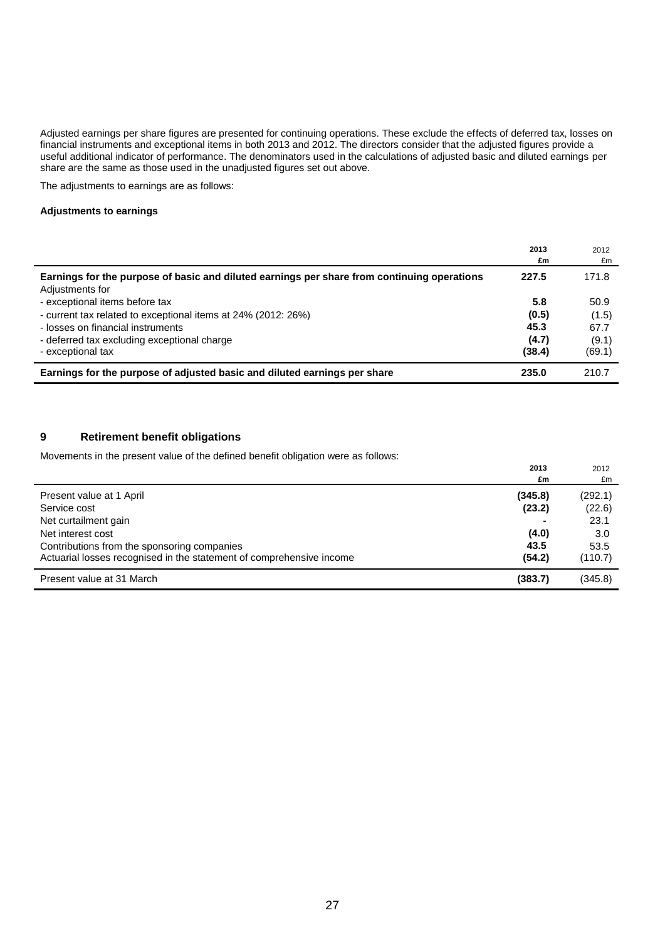Adjusted earnings per share figures are presented for continuing operations. These exclude the effects of deferred tax, losses on financial instruments and exceptional items in both 2013 and 2012. The directors consider that the adjusted figures provide a useful additional indicator of performance. The denominators used in the calculations of adjusted basic and diluted earnings per share are the same as those used in the unadjusted figures set out above.

The adjustments to earnings are as follows:

#### **Adjustments to earnings**

|                                                                                                                | 2013<br>£m              | 2012<br>£m              |
|----------------------------------------------------------------------------------------------------------------|-------------------------|-------------------------|
| Earnings for the purpose of basic and diluted earnings per share from continuing operations<br>Adjustments for | 227.5                   | 171.8                   |
| - exceptional items before tax<br>- current tax related to exceptional items at 24% (2012: 26%)                | 5.8<br>(0.5)            | 50.9<br>(1.5)           |
| - losses on financial instruments<br>- deferred tax excluding exceptional charge<br>- exceptional tax          | 45.3<br>(4.7)<br>(38.4) | 67.7<br>(9.1)<br>(69.1) |
| Earnings for the purpose of adjusted basic and diluted earnings per share                                      | 235.0                   | 210.7                   |

### **9 Retirement benefit obligations**

l,

Movements in the present value of the defined benefit obligation were as follows:

|                                                                      | 2013    | 2012    |
|----------------------------------------------------------------------|---------|---------|
|                                                                      | £m      | £m      |
| Present value at 1 April                                             | (345.8) | (292.1) |
| Service cost                                                         | (23.2)  | (22.6)  |
| Net curtailment gain                                                 |         | 23.1    |
| Net interest cost                                                    | (4.0)   | 3.0     |
| Contributions from the sponsoring companies                          | 43.5    | 53.5    |
| Actuarial losses recognised in the statement of comprehensive income | (54.2)  | (110.7) |
| Present value at 31 March                                            | (383.7) | (345.8) |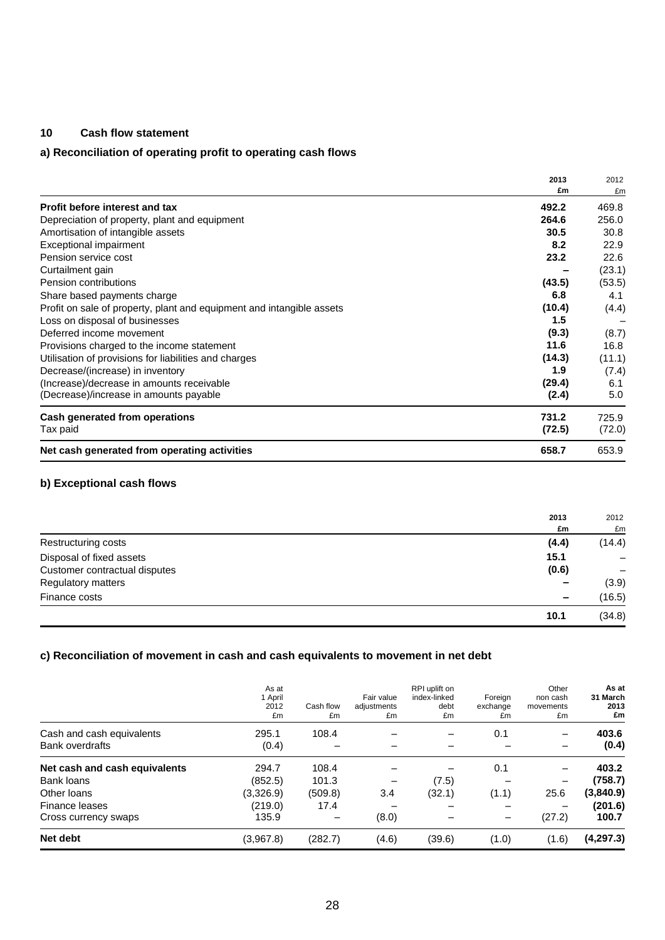### **10 Cash flow statement**

# **a) Reconciliation of operating profit to operating cash flows**

|                                                                       | 2013   | 2012   |
|-----------------------------------------------------------------------|--------|--------|
|                                                                       | £m     | £m     |
| Profit before interest and tax                                        | 492.2  | 469.8  |
| Depreciation of property, plant and equipment                         | 264.6  | 256.0  |
| Amortisation of intangible assets                                     | 30.5   | 30.8   |
| Exceptional impairment                                                | 8.2    | 22.9   |
| Pension service cost                                                  | 23.2   | 22.6   |
| Curtailment gain                                                      |        | (23.1) |
| Pension contributions                                                 | (43.5) | (53.5) |
| Share based payments charge                                           | 6.8    | 4.1    |
| Profit on sale of property, plant and equipment and intangible assets | (10.4) | (4.4)  |
| Loss on disposal of businesses                                        | 1.5    |        |
| Deferred income movement                                              | (9.3)  | (8.7)  |
| Provisions charged to the income statement                            | 11.6   | 16.8   |
| Utilisation of provisions for liabilities and charges                 | (14.3) | (11.1) |
| Decrease/(increase) in inventory                                      | 1.9    | (7.4)  |
| (Increase)/decrease in amounts receivable                             | (29.4) | 6.1    |
| (Decrease)/increase in amounts payable                                | (2.4)  | 5.0    |
| Cash generated from operations                                        | 731.2  | 725.9  |
| Tax paid                                                              | (72.5) | (72.0) |
| Net cash generated from operating activities                          | 658.7  | 653.9  |

### **b) Exceptional cash flows**

|                               | 2013            | 2012   |
|-------------------------------|-----------------|--------|
|                               | £m              | £m     |
| Restructuring costs           | (4.4)           | (14.4) |
| Disposal of fixed assets      | 15.1            |        |
| Customer contractual disputes | (0.6)           |        |
| Regulatory matters            | $\qquad \qquad$ | (3.9)  |
| Finance costs                 | $\qquad \qquad$ | (16.5) |
|                               | 10.1            | (34.8) |

### **c) Reconciliation of movement in cash and cash equivalents to movement in net debt**

|                                                     | As at<br>1 April<br>2012<br>£m | Cash flow<br>£m | Fair value<br>adjustments<br>£m | RPI uplift on<br>index-linked<br>debt<br>£m | Foreign<br>exchange<br>£m | Other<br>non cash<br>movements<br>£m | As at<br>31 March<br>2013<br>£m |
|-----------------------------------------------------|--------------------------------|-----------------|---------------------------------|---------------------------------------------|---------------------------|--------------------------------------|---------------------------------|
| Cash and cash equivalents<br><b>Bank overdrafts</b> | 295.1<br>(0.4)                 | 108.4           |                                 | $\overline{\phantom{0}}$                    | 0.1                       |                                      | 403.6<br>(0.4)                  |
| Net cash and cash equivalents                       | 294.7                          | 108.4           |                                 |                                             | 0.1                       |                                      | 403.2                           |
| <b>Bank loans</b>                                   | (852.5)                        | 101.3           |                                 | (7.5)                                       |                           |                                      | (758.7)                         |
| Other loans                                         | (3,326.9)                      | (509.8)         | 3.4                             | (32.1)                                      | (1.1)                     | 25.6                                 | (3,840.9)                       |
| Finance leases                                      | (219.0)                        | 17.4            |                                 |                                             |                           |                                      | (201.6)                         |
| Cross currency swaps                                | 135.9                          |                 | (8.0)                           |                                             |                           | (27.2)                               | 100.7                           |
| Net debt                                            | (3,967.8)                      | (282.7)         | (4.6)                           | (39.6)                                      | (1.0)                     | (1.6)                                | (4,297.3)                       |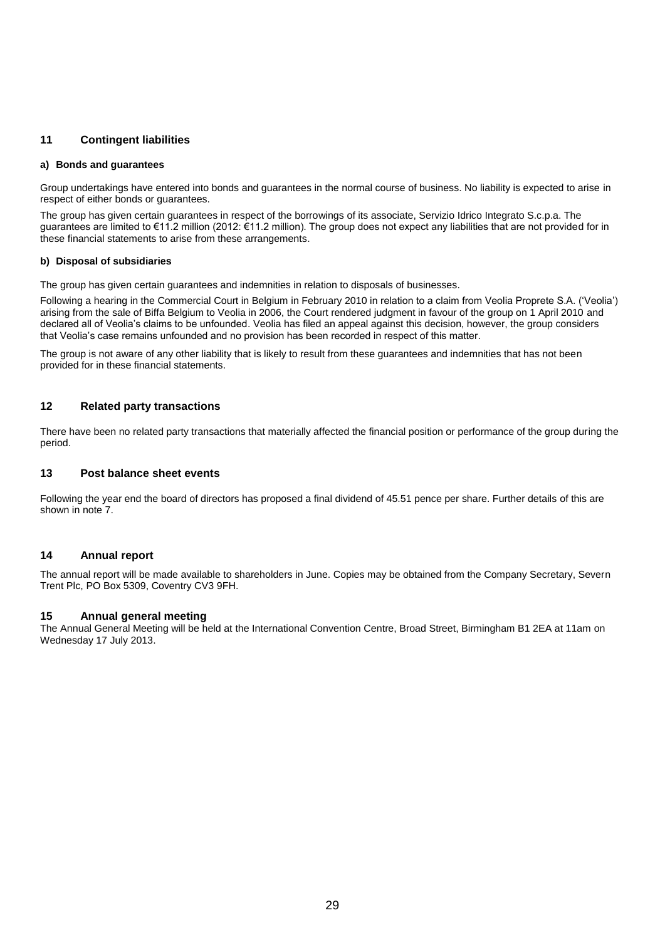#### **11 Contingent liabilities**

#### **a) Bonds and guarantees**

Group undertakings have entered into bonds and guarantees in the normal course of business. No liability is expected to arise in respect of either bonds or guarantees.

The group has given certain guarantees in respect of the borrowings of its associate, Servizio Idrico Integrato S.c.p.a. The guarantees are limited to €11.2 million (2012: €11.2 million). The group does not expect any liabilities that are not provided for in these financial statements to arise from these arrangements.

#### **b) Disposal of subsidiaries**

The group has given certain guarantees and indemnities in relation to disposals of businesses.

Following a hearing in the Commercial Court in Belgium in February 2010 in relation to a claim from Veolia Proprete S.A. ('Veolia') arising from the sale of Biffa Belgium to Veolia in 2006, the Court rendered judgment in favour of the group on 1 April 2010 and declared all of Veolia's claims to be unfounded. Veolia has filed an appeal against this decision, however, the group considers that Veolia's case remains unfounded and no provision has been recorded in respect of this matter.

The group is not aware of any other liability that is likely to result from these guarantees and indemnities that has not been provided for in these financial statements.

#### **12 Related party transactions**

There have been no related party transactions that materially affected the financial position or performance of the group during the period.

#### **13 Post balance sheet events**

Following the year end the board of directors has proposed a final dividend of 45.51 pence per share. Further details of this are shown in note 7.

#### **14 Annual report**

The annual report will be made available to shareholders in June. Copies may be obtained from the Company Secretary, Severn Trent Plc, PO Box 5309, Coventry CV3 9FH.

#### **15 Annual general meeting**

The Annual General Meeting will be held at the International Convention Centre, Broad Street, Birmingham B1 2EA at 11am on Wednesday 17 July 2013.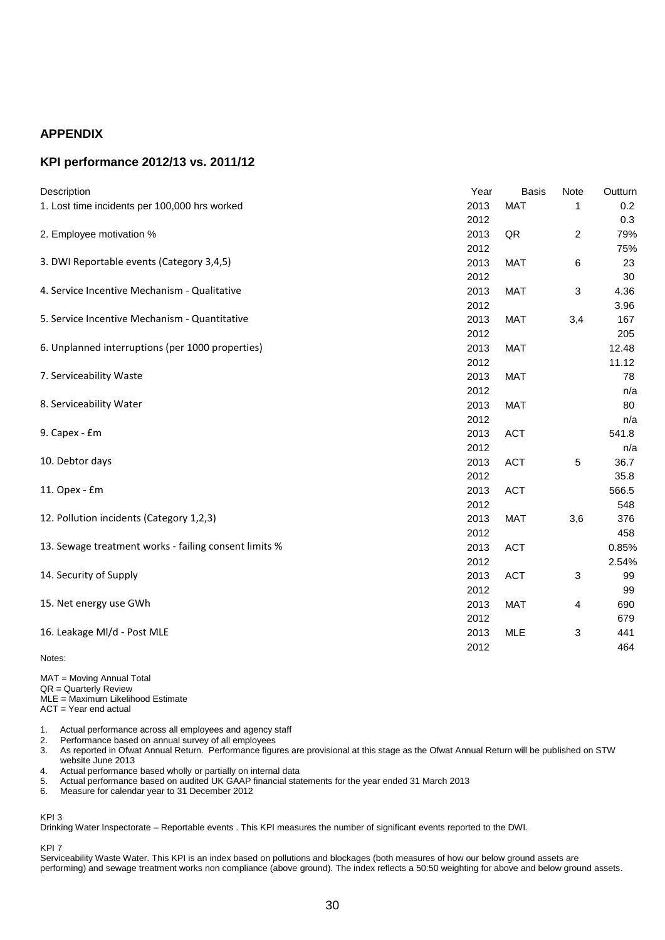### **APPENDIX**

### **KPI performance 2012/13 vs. 2011/12**

| Description                                           | Year | <b>Basis</b> | Note                    | Outturn |
|-------------------------------------------------------|------|--------------|-------------------------|---------|
| 1. Lost time incidents per 100,000 hrs worked         | 2013 | <b>MAT</b>   | 1                       | 0.2     |
|                                                       | 2012 |              |                         | 0.3     |
| 2. Employee motivation %                              | 2013 | QR           | $\overline{\mathbf{c}}$ | 79%     |
|                                                       | 2012 |              |                         | 75%     |
| 3. DWI Reportable events (Category 3,4,5)             | 2013 | <b>MAT</b>   | 6                       | 23      |
|                                                       | 2012 |              |                         | 30      |
| 4. Service Incentive Mechanism - Qualitative          | 2013 | <b>MAT</b>   | 3                       | 4.36    |
|                                                       | 2012 |              |                         | 3.96    |
| 5. Service Incentive Mechanism - Quantitative         | 2013 | <b>MAT</b>   | 3,4                     | 167     |
|                                                       | 2012 |              |                         | 205     |
| 6. Unplanned interruptions (per 1000 properties)      | 2013 | <b>MAT</b>   |                         | 12.48   |
|                                                       | 2012 |              |                         | 11.12   |
| 7. Serviceability Waste                               | 2013 | <b>MAT</b>   |                         | 78      |
|                                                       | 2012 |              |                         | n/a     |
| 8. Serviceability Water                               | 2013 | <b>MAT</b>   |                         | 80      |
|                                                       | 2012 |              |                         | n/a     |
| 9. Capex - £m                                         | 2013 | <b>ACT</b>   |                         | 541.8   |
|                                                       | 2012 |              |                         | n/a     |
| 10. Debtor days                                       | 2013 | <b>ACT</b>   | 5                       | 36.7    |
|                                                       | 2012 |              |                         | 35.8    |
| 11. Opex - £m                                         | 2013 | <b>ACT</b>   |                         | 566.5   |
|                                                       | 2012 |              |                         | 548     |
| 12. Pollution incidents (Category 1,2,3)              | 2013 | <b>MAT</b>   | 3,6                     | 376     |
|                                                       | 2012 |              |                         | 458     |
| 13. Sewage treatment works - failing consent limits % | 2013 | <b>ACT</b>   |                         | 0.85%   |
|                                                       | 2012 |              |                         | 2.54%   |
| 14. Security of Supply                                | 2013 | <b>ACT</b>   | 3                       | 99      |
|                                                       | 2012 |              |                         | 99      |
| 15. Net energy use GWh                                | 2013 | MAT          | 4                       | 690     |
|                                                       | 2012 |              |                         | 679     |
| 16. Leakage MI/d - Post MLE                           | 2013 | <b>MLE</b>   | 3                       | 441     |
|                                                       | 2012 |              |                         | 464     |
| Notes:                                                |      |              |                         |         |

MAT = Moving Annual Total QR = Quarterly Review MLE = Maximum Likelihood Estimate ACT = Year end actual

1. Actual performance across all employees and agency staff

2. Performance based on annual survey of all employees

3. As reported in Ofwat Annual Return. Performance figures are provisional at this stage as the Ofwat Annual Return will be published on STW website June 2013

4. Actual performance based wholly or partially on internal data<br>5. Actual performance based on audited UK GAAP financial sta

5. Actual performance based on audited UK GAAP financial statements for the year ended 31 March 2013

Measure for calendar year to 31 December 2012

#### KPI 3

Drinking Water Inspectorate – Reportable events . This KPI measures the number of significant events reported to the DWI.

#### KPI 7

Serviceability Waste Water. This KPI is an index based on pollutions and blockages (both measures of how our below ground assets are performing) and sewage treatment works non compliance (above ground). The index reflects a 50:50 weighting for above and below ground assets.